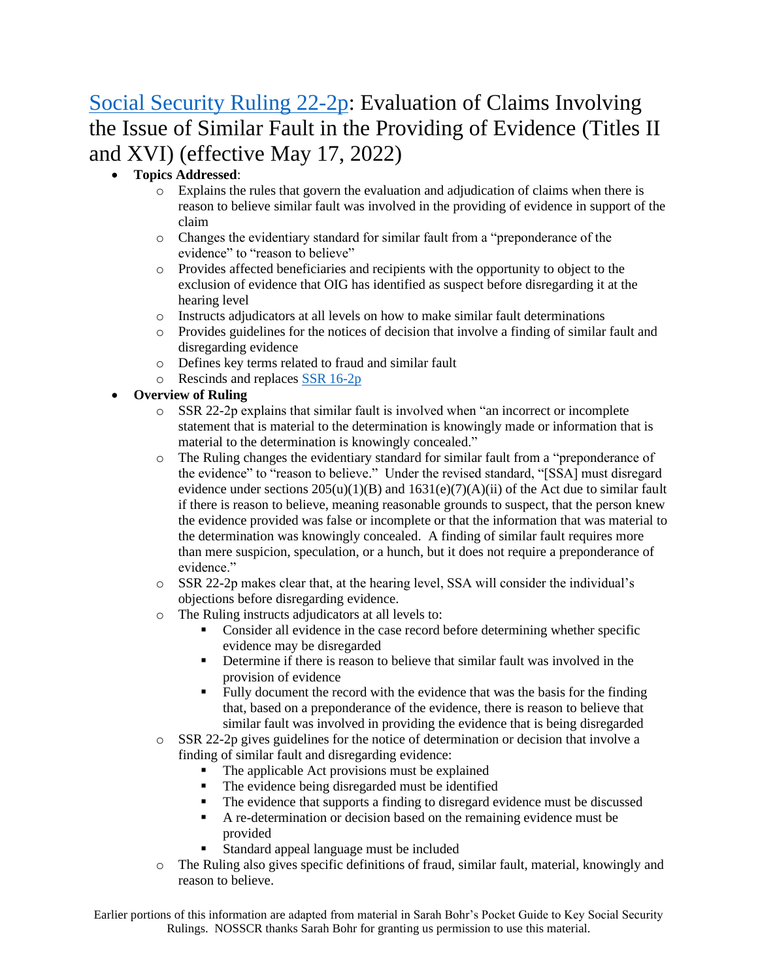# [Social Security Ruling 22-2p:](https://www.ssa.gov/OP_Home/rulings/PDF/2022-10559.pdf) Evaluation of Claims Involving the Issue of Similar Fault in the Providing of Evidence (Titles II and XVI) (effective May 17, 2022)

### • **Topics Addressed**:

- o Explains the rules that govern the evaluation and adjudication of claims when there is reason to believe similar fault was involved in the providing of evidence in support of the claim
- o Changes the evidentiary standard for similar fault from a "preponderance of the evidence" to "reason to believe"
- o Provides affected beneficiaries and recipients with the opportunity to object to the exclusion of evidence that OIG has identified as suspect before disregarding it at the hearing level
- o Instructs adjudicators at all levels on how to make similar fault determinations
- $\circ$  Provides guidelines for the notices of decision that involve a finding of similar fault and disregarding evidence
- o Defines key terms related to fraud and similar fault
- o Rescinds and replaces [SSR 16-2p](https://www.ssa.gov/OP_Home/rulings/oasi/33/SSR2016-02-oasi-33.html)
- **Overview of Ruling** 
	- o SSR 22-2p explains that similar fault is involved when "an incorrect or incomplete statement that is material to the determination is knowingly made or information that is material to the determination is knowingly concealed."
	- o The Ruling changes the evidentiary standard for similar fault from a "preponderance of the evidence" to "reason to believe." Under the revised standard, "[SSA] must disregard evidence under sections  $205(u)(1)(B)$  and  $1631(e)(7)(A)(ii)$  of the Act due to similar fault if there is reason to believe, meaning reasonable grounds to suspect, that the person knew the evidence provided was false or incomplete or that the information that was material to the determination was knowingly concealed. A finding of similar fault requires more than mere suspicion, speculation, or a hunch, but it does not require a preponderance of evidence."
	- o SSR 22-2p makes clear that, at the hearing level, SSA will consider the individual's objections before disregarding evidence.
	- o The Ruling instructs adjudicators at all levels to:
		- Consider all evidence in the case record before determining whether specific evidence may be disregarded
		- **•** Determine if there is reason to believe that similar fault was involved in the provision of evidence
		- Fully document the record with the evidence that was the basis for the finding that, based on a preponderance of the evidence, there is reason to believe that similar fault was involved in providing the evidence that is being disregarded
	- $\circ$  SSR 22-2p gives guidelines for the notice of determination or decision that involve a finding of similar fault and disregarding evidence:
		- The applicable Act provisions must be explained
		- The evidence being disregarded must be identified
		- The evidence that supports a finding to disregard evidence must be discussed
		- A re-determination or decision based on the remaining evidence must be provided
		- Standard appeal language must be included
	- o The Ruling also gives specific definitions of fraud, similar fault, material, knowingly and reason to believe.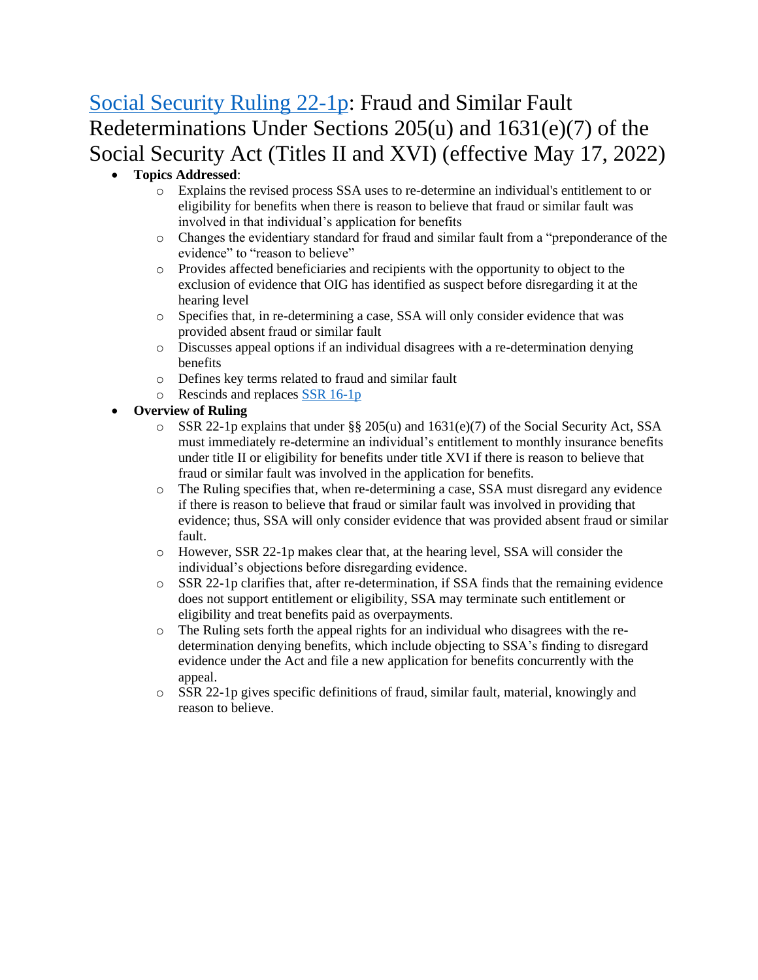# [Social Security Ruling 22-1p:](https://www.ssa.gov/OP_Home/rulings/PDF/2022-10558.pdf) Fraud and Similar Fault Redeterminations Under Sections 205(u) and 1631(e)(7) of the Social Security Act (Titles II and XVI) (effective May 17, 2022)

- **Topics Addressed**:
	- o Explains the revised process SSA uses to re-determine an individual's entitlement to or eligibility for benefits when there is reason to believe that fraud or similar fault was involved in that individual's application for benefits
	- o Changes the evidentiary standard for fraud and similar fault from a "preponderance of the evidence" to "reason to believe"
	- o Provides affected beneficiaries and recipients with the opportunity to object to the exclusion of evidence that OIG has identified as suspect before disregarding it at the hearing level
	- o Specifies that, in re-determining a case, SSA will only consider evidence that was provided absent fraud or similar fault
	- o Discusses appeal options if an individual disagrees with a re-determination denying benefits
	- o Defines key terms related to fraud and similar fault
	- o Rescinds and replaces [SSR 16-1p](https://www.ssa.gov/OP_Home/rulings/oasi/33/SSR2016-01-oasi-33.html)
- **Overview of Ruling** 
	- $\circ$  SSR 22-1p explains that under §§ 205(u) and 1631(e)(7) of the Social Security Act, SSA must immediately re-determine an individual's entitlement to monthly insurance benefits under title II or eligibility for benefits under title XVI if there is reason to believe that fraud or similar fault was involved in the application for benefits.
	- o The Ruling specifies that, when re-determining a case, SSA must disregard any evidence if there is reason to believe that fraud or similar fault was involved in providing that evidence; thus, SSA will only consider evidence that was provided absent fraud or similar fault.
	- o However, SSR 22-1p makes clear that, at the hearing level, SSA will consider the individual's objections before disregarding evidence.
	- $\circ$  SSR 22-1p clarifies that, after re-determination, if SSA finds that the remaining evidence does not support entitlement or eligibility, SSA may terminate such entitlement or eligibility and treat benefits paid as overpayments.
	- $\circ$  The Ruling sets forth the appeal rights for an individual who disagrees with the redetermination denying benefits, which include objecting to SSA's finding to disregard evidence under the Act and file a new application for benefits concurrently with the appeal.
	- o SSR 22-1p gives specific definitions of fraud, similar fault, material, knowingly and reason to believe.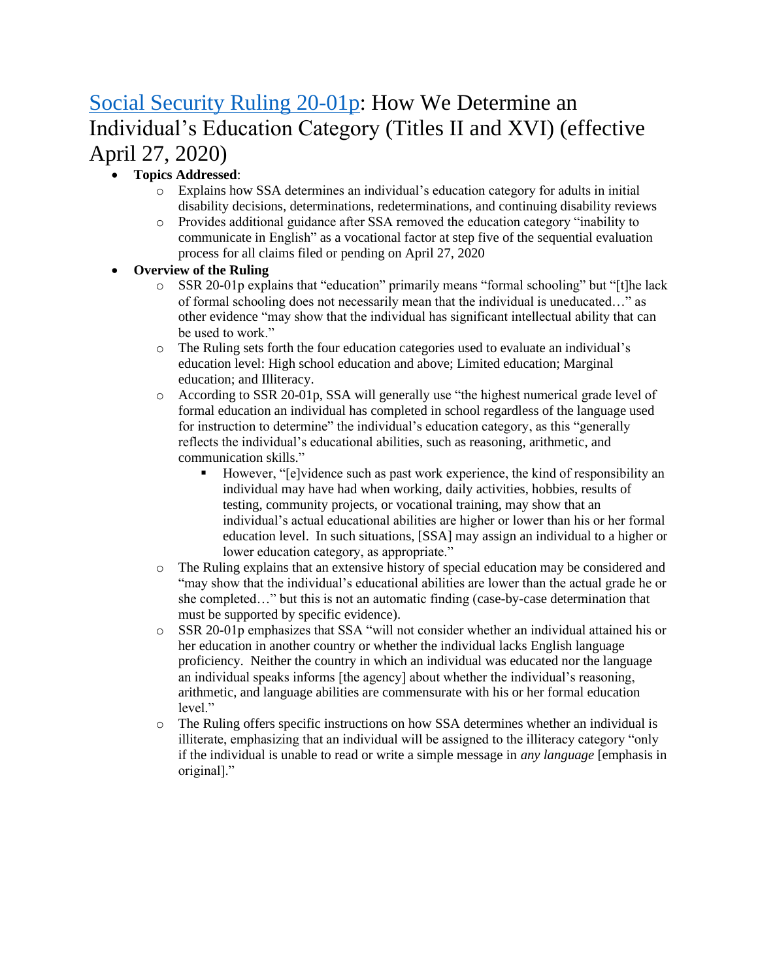# [Social Security Ruling 20-01p:](https://www.govinfo.gov/content/pkg/FR-2020-03-09/pdf/2020-04668.pdf) How We Determine an Individual's Education Category (Titles II and XVI) (effective April 27, 2020)

### • **Topics Addressed**:

- o Explains how SSA determines an individual's education category for adults in initial disability decisions, determinations, redeterminations, and continuing disability reviews
- o Provides additional guidance after SSA removed the education category "inability to communicate in English" as a vocational factor at step five of the sequential evaluation process for all claims filed or pending on April 27, 2020

- o SSR 20-01p explains that "education" primarily means "formal schooling" but "[t]he lack of formal schooling does not necessarily mean that the individual is uneducated…" as other evidence "may show that the individual has significant intellectual ability that can be used to work."
- o The Ruling sets forth the four education categories used to evaluate an individual's education level: High school education and above; Limited education; Marginal education; and Illiteracy.
- o According to SSR 20-01p, SSA will generally use "the highest numerical grade level of formal education an individual has completed in school regardless of the language used for instruction to determine" the individual's education category, as this "generally reflects the individual's educational abilities, such as reasoning, arithmetic, and communication skills."
	- However, "[e]vidence such as past work experience, the kind of responsibility an individual may have had when working, daily activities, hobbies, results of testing, community projects, or vocational training, may show that an individual's actual educational abilities are higher or lower than his or her formal education level. In such situations, [SSA] may assign an individual to a higher or lower education category, as appropriate."
- o The Ruling explains that an extensive history of special education may be considered and "may show that the individual's educational abilities are lower than the actual grade he or she completed…" but this is not an automatic finding (case-by-case determination that must be supported by specific evidence).
- o SSR 20-01p emphasizes that SSA "will not consider whether an individual attained his or her education in another country or whether the individual lacks English language proficiency. Neither the country in which an individual was educated nor the language an individual speaks informs [the agency] about whether the individual's reasoning, arithmetic, and language abilities are commensurate with his or her formal education level."
- o The Ruling offers specific instructions on how SSA determines whether an individual is illiterate, emphasizing that an individual will be assigned to the illiteracy category "only if the individual is unable to read or write a simple message in *any language* [emphasis in original]."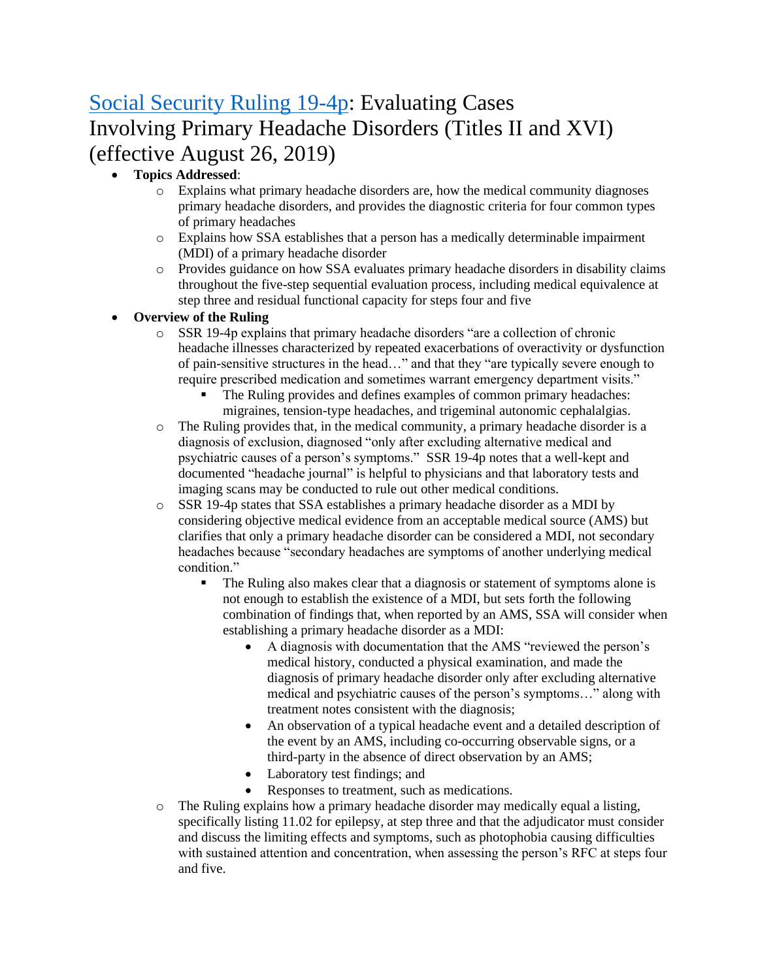# [Social Security Ruling 19-4p:](https://www.govinfo.gov/content/pkg/FR-2019-08-26/pdf/2019-18310.pdf?utm_source=BenchmarkEmail&utm_campaign=LISTING_GRIDS_UPDATE_8%2f26%2f19&utm_medium=email) Evaluating Cases Involving Primary Headache Disorders (Titles II and XVI) (effective August 26, 2019)

### • **Topics Addressed**:

- o Explains what primary headache disorders are, how the medical community diagnoses primary headache disorders, and provides the diagnostic criteria for four common types of primary headaches
- o Explains how SSA establishes that a person has a medically determinable impairment (MDI) of a primary headache disorder
- o Provides guidance on how SSA evaluates primary headache disorders in disability claims throughout the five-step sequential evaluation process, including medical equivalence at step three and residual functional capacity for steps four and five

- $\circ$  SSR 19-4p explains that primary headache disorders "are a collection of chronic headache illnesses characterized by repeated exacerbations of overactivity or dysfunction of pain-sensitive structures in the head…" and that they "are typically severe enough to require prescribed medication and sometimes warrant emergency department visits."
	- The Ruling provides and defines examples of common primary headaches: migraines, tension-type headaches, and trigeminal autonomic cephalalgias.
- $\circ$  The Ruling provides that, in the medical community, a primary headache disorder is a diagnosis of exclusion, diagnosed "only after excluding alternative medical and psychiatric causes of a person's symptoms." SSR 19-4p notes that a well-kept and documented "headache journal" is helpful to physicians and that laboratory tests and imaging scans may be conducted to rule out other medical conditions.
- o SSR 19-4p states that SSA establishes a primary headache disorder as a MDI by considering objective medical evidence from an acceptable medical source (AMS) but clarifies that only a primary headache disorder can be considered a MDI, not secondary headaches because "secondary headaches are symptoms of another underlying medical condition."
	- **•** The Ruling also makes clear that a diagnosis or statement of symptoms alone is not enough to establish the existence of a MDI, but sets forth the following combination of findings that, when reported by an AMS, SSA will consider when establishing a primary headache disorder as a MDI:
		- A diagnosis with documentation that the AMS "reviewed the person's medical history, conducted a physical examination, and made the diagnosis of primary headache disorder only after excluding alternative medical and psychiatric causes of the person's symptoms…" along with treatment notes consistent with the diagnosis;
		- An observation of a typical headache event and a detailed description of the event by an AMS, including co-occurring observable signs, or a third-party in the absence of direct observation by an AMS;
		- Laboratory test findings; and
		- Responses to treatment, such as medications.
- $\circ$  The Ruling explains how a primary headache disorder may medically equal a listing, specifically listing 11.02 for epilepsy, at step three and that the adjudicator must consider and discuss the limiting effects and symptoms, such as photophobia causing difficulties with sustained attention and concentration, when assessing the person's RFC at steps four and five.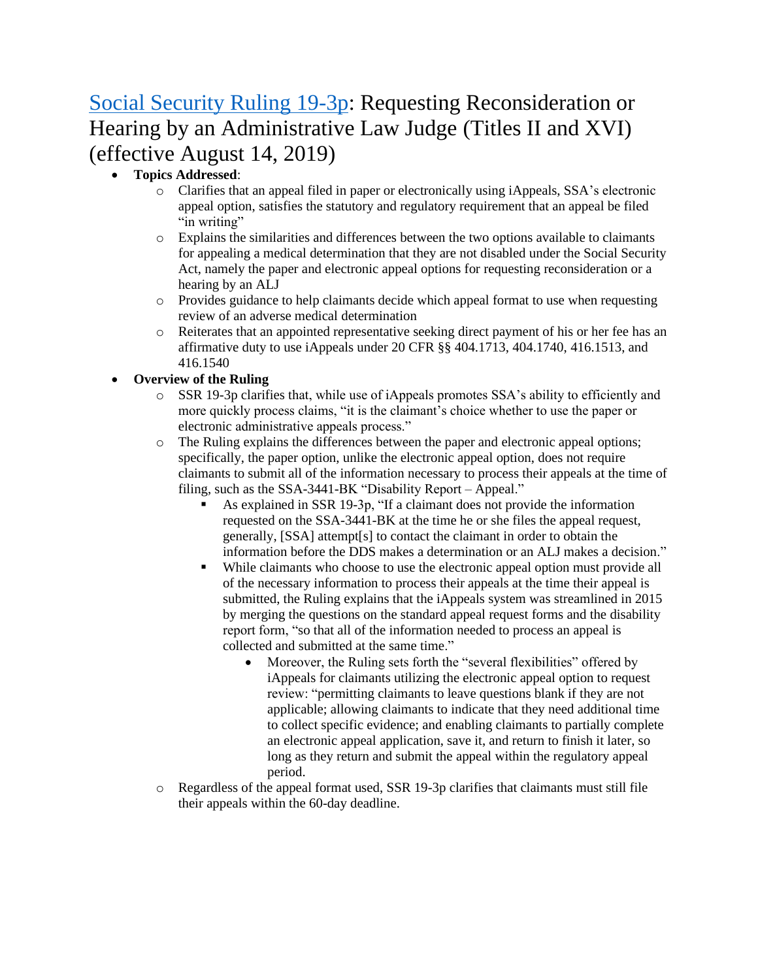# [Social Security Ruling 19-3p:](https://www.ssa.gov/OP_Home/rulings/PDF/2019-17359.pdf) Requesting Reconsideration or Hearing by an Administrative Law Judge (Titles II and XVI) (effective August 14, 2019)

- **Topics Addressed**:
	- o Clarifies that an appeal filed in paper or electronically using iAppeals, SSA's electronic appeal option, satisfies the statutory and regulatory requirement that an appeal be filed "in writing"
	- o Explains the similarities and differences between the two options available to claimants for appealing a medical determination that they are not disabled under the Social Security Act, namely the paper and electronic appeal options for requesting reconsideration or a hearing by an ALJ
	- o Provides guidance to help claimants decide which appeal format to use when requesting review of an adverse medical determination
	- o Reiterates that an appointed representative seeking direct payment of his or her fee has an affirmative duty to use iAppeals under 20 CFR §§ 404.1713, 404.1740, 416.1513, and 416.1540

- o SSR 19-3p clarifies that, while use of iAppeals promotes SSA's ability to efficiently and more quickly process claims, "it is the claimant's choice whether to use the paper or electronic administrative appeals process."
- o The Ruling explains the differences between the paper and electronic appeal options; specifically, the paper option, unlike the electronic appeal option, does not require claimants to submit all of the information necessary to process their appeals at the time of filing, such as the SSA-3441-BK "Disability Report – Appeal."
	- As explained in SSR 19-3p, "If a claimant does not provide the information requested on the SSA-3441-BK at the time he or she files the appeal request, generally, [SSA] attempt[s] to contact the claimant in order to obtain the information before the DDS makes a determination or an ALJ makes a decision."
	- While claimants who choose to use the electronic appeal option must provide all of the necessary information to process their appeals at the time their appeal is submitted, the Ruling explains that the iAppeals system was streamlined in 2015 by merging the questions on the standard appeal request forms and the disability report form, "so that all of the information needed to process an appeal is collected and submitted at the same time."
		- Moreover, the Ruling sets forth the "several flexibilities" offered by iAppeals for claimants utilizing the electronic appeal option to request review: "permitting claimants to leave questions blank if they are not applicable; allowing claimants to indicate that they need additional time to collect specific evidence; and enabling claimants to partially complete an electronic appeal application, save it, and return to finish it later, so long as they return and submit the appeal within the regulatory appeal period.
- o Regardless of the appeal format used, SSR 19-3p clarifies that claimants must still file their appeals within the 60-day deadline.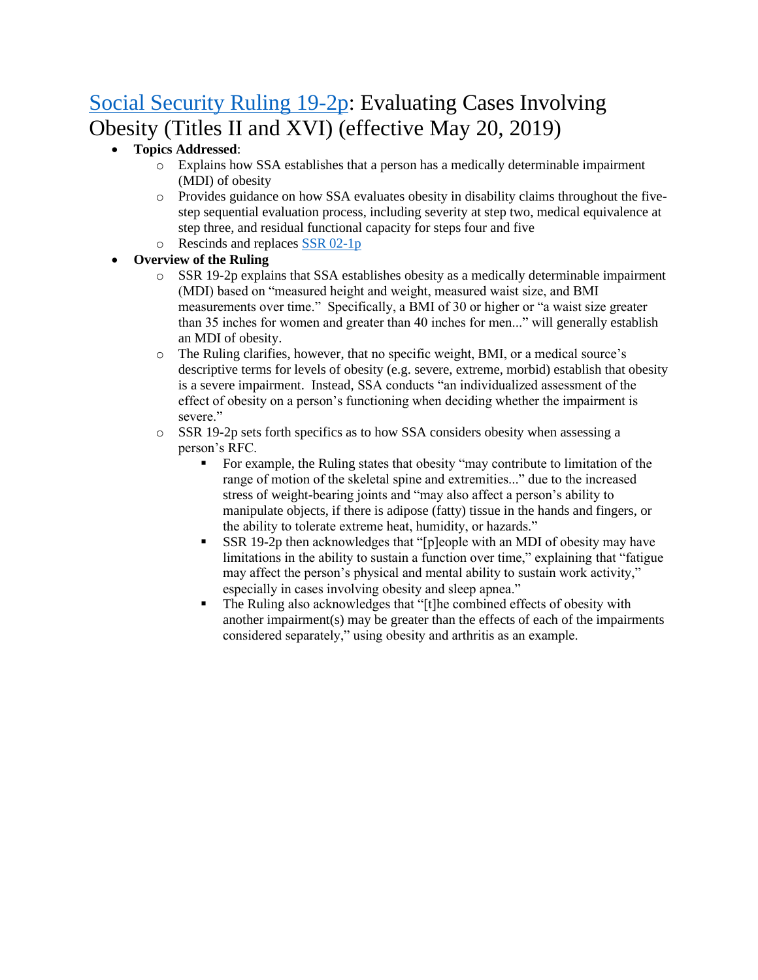# [Social Security Ruling 19-2p:](https://www.govinfo.gov/content/pkg/FR-2019-05-20/pdf/2019-10432.pdf) Evaluating Cases Involving Obesity (Titles II and XVI) (effective May 20, 2019)

### • **Topics Addressed**:

- o Explains how SSA establishes that a person has a medically determinable impairment (MDI) of obesity
- o Provides guidance on how SSA evaluates obesity in disability claims throughout the fivestep sequential evaluation process, including severity at step two, medical equivalence at step three, and residual functional capacity for steps four and five
- o Rescinds and replaces [SSR 02-1p](https://www.ssa.gov/OP_Home/rulings/di/01/SSR2002-01-di-01.html)

- $\circ$  SSR 19-2p explains that SSA establishes obesity as a medically determinable impairment (MDI) based on "measured height and weight, measured waist size, and BMI measurements over time." Specifically, a BMI of 30 or higher or "a waist size greater than 35 inches for women and greater than 40 inches for men..." will generally establish an MDI of obesity.
- o The Ruling clarifies, however, that no specific weight, BMI, or a medical source's descriptive terms for levels of obesity (e.g. severe, extreme, morbid) establish that obesity is a severe impairment. Instead, SSA conducts "an individualized assessment of the effect of obesity on a person's functioning when deciding whether the impairment is severe."
- o SSR 19-2p sets forth specifics as to how SSA considers obesity when assessing a person's RFC.
	- For example, the Ruling states that obesity "may contribute to limitation of the range of motion of the skeletal spine and extremities..." due to the increased stress of weight-bearing joints and "may also affect a person's ability to manipulate objects, if there is adipose (fatty) tissue in the hands and fingers, or the ability to tolerate extreme heat, humidity, or hazards."
	- $SSR$  19-2p then acknowledges that "[p]eople with an MDI of obesity may have limitations in the ability to sustain a function over time," explaining that "fatigue may affect the person's physical and mental ability to sustain work activity," especially in cases involving obesity and sleep apnea."
	- The Ruling also acknowledges that "[t]he combined effects of obesity with another impairment(s) may be greater than the effects of each of the impairments considered separately," using obesity and arthritis as an example.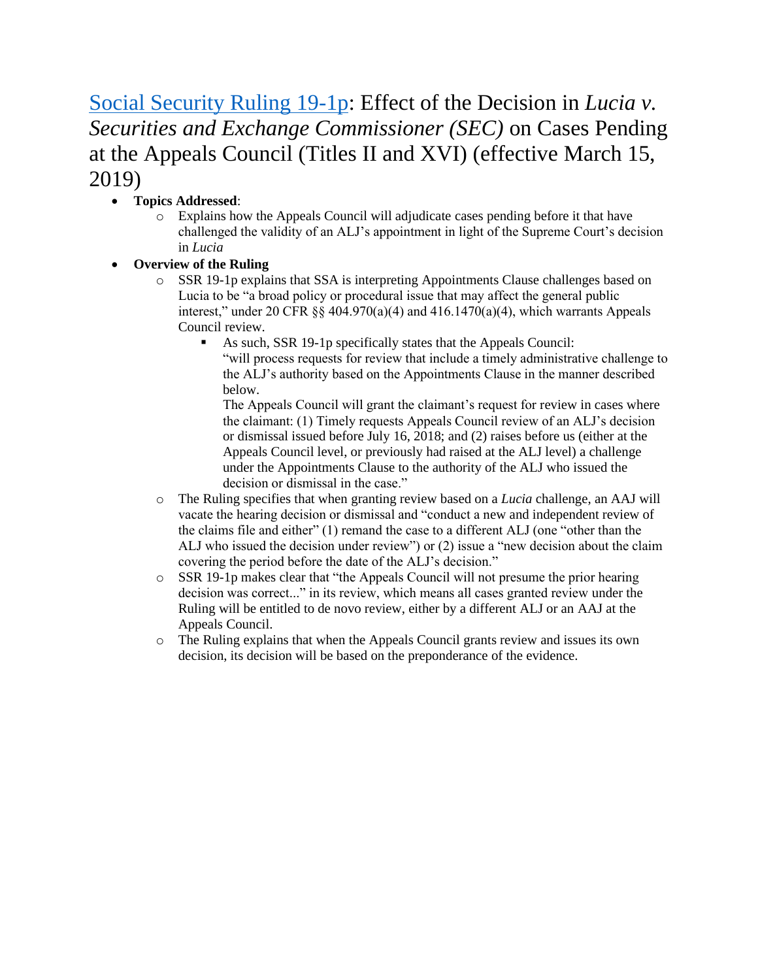## [Social Security Ruling 19-1p:](https://www.govinfo.gov/content/pkg/FR-2019-03-15/pdf/2019-04817.pdf) Effect of the Decision in *Lucia v. Securities and Exchange Commissioner (SEC)* on Cases Pending at the Appeals Council (Titles II and XVI) (effective March 15, 2019)

### • **Topics Addressed**:

- o Explains how the Appeals Council will adjudicate cases pending before it that have challenged the validity of an ALJ's appointment in light of the Supreme Court's decision in *Lucia*
- **Overview of the Ruling**
	- o SSR 19-1p explains that SSA is interpreting Appointments Clause challenges based on Lucia to be "a broad policy or procedural issue that may affect the general public interest," under 20 CFR  $\S$  404.970(a)(4) and 416.1470(a)(4), which warrants Appeals Council review.
		- As such, SSR 19-1p specifically states that the Appeals Council: "will process requests for review that include a timely administrative challenge to the ALJ's authority based on the Appointments Clause in the manner described below.

The Appeals Council will grant the claimant's request for review in cases where the claimant: (1) Timely requests Appeals Council review of an ALJ's decision or dismissal issued before July 16, 2018; and (2) raises before us (either at the Appeals Council level, or previously had raised at the ALJ level) a challenge under the Appointments Clause to the authority of the ALJ who issued the decision or dismissal in the case."

- o The Ruling specifies that when granting review based on a *Lucia* challenge, an AAJ will vacate the hearing decision or dismissal and "conduct a new and independent review of the claims file and either" (1) remand the case to a different ALJ (one "other than the ALJ who issued the decision under review") or (2) issue a "new decision about the claim covering the period before the date of the ALJ's decision."
- $\circ$  SSR 19-1p makes clear that "the Appeals Council will not presume the prior hearing decision was correct..." in its review, which means all cases granted review under the Ruling will be entitled to de novo review, either by a different ALJ or an AAJ at the Appeals Council.
- o The Ruling explains that when the Appeals Council grants review and issues its own decision, its decision will be based on the preponderance of the evidence.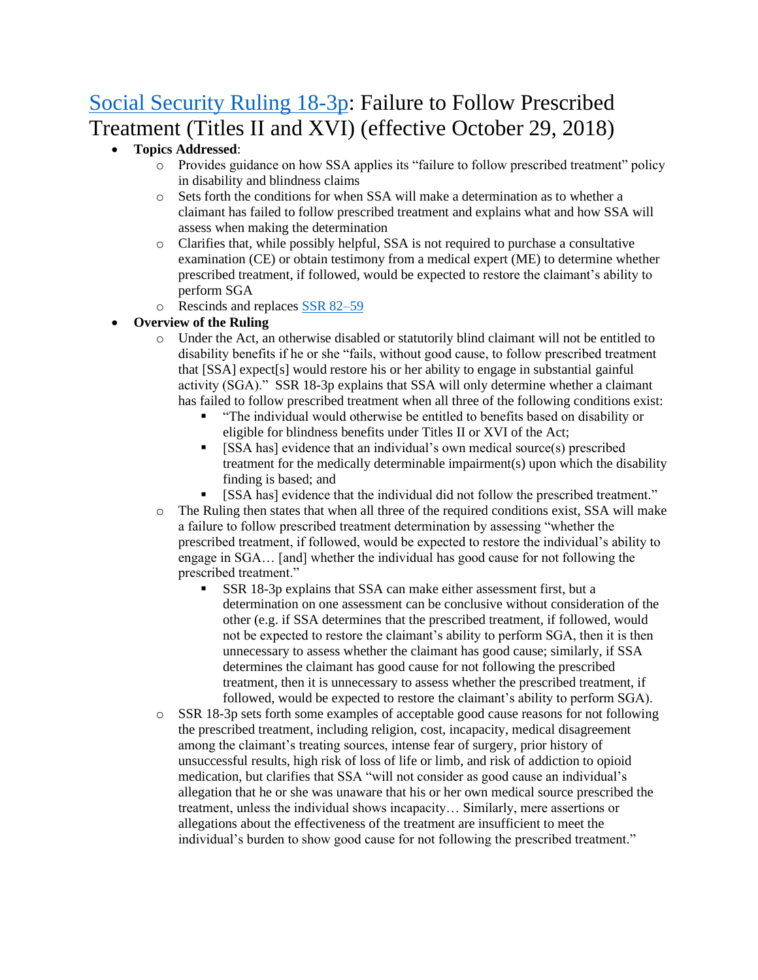# [Social Security Ruling 18-3p:](https://www.gpo.gov/fdsys/pkg/FR-2018-10-02/pdf/2018-21359.pdf) Failure to Follow Prescribed Treatment (Titles II and XVI) (effective October 29, 2018)

### • **Topics Addressed**:

- o Provides guidance on how SSA applies its "failure to follow prescribed treatment" policy in disability and blindness claims
- o Sets forth the conditions for when SSA will make a determination as to whether a claimant has failed to follow prescribed treatment and explains what and how SSA will assess when making the determination
- o Clarifies that, while possibly helpful, SSA is not required to purchase a consultative examination (CE) or obtain testimony from a medical expert (ME) to determine whether prescribed treatment, if followed, would be expected to restore the claimant's ability to perform SGA
- o Rescinds and replaces [SSR 82–59](https://www.ssa.gov/OP_Home/rulings/di/02/SSR82-59-di-02.html)

- o Under the Act, an otherwise disabled or statutorily blind claimant will not be entitled to disability benefits if he or she "fails, without good cause, to follow prescribed treatment that [SSA] expect[s] would restore his or her ability to engage in substantial gainful activity (SGA)." SSR 18-3p explains that SSA will only determine whether a claimant has failed to follow prescribed treatment when all three of the following conditions exist:
	- "The individual would otherwise be entitled to benefits based on disability or eligible for blindness benefits under Titles II or XVI of the Act;
	- $[SSA has]$  evidence that an individual's own medical source(s) prescribed treatment for the medically determinable impairment(s) upon which the disability finding is based; and
	- [SSA has] evidence that the individual did not follow the prescribed treatment."
- o The Ruling then states that when all three of the required conditions exist, SSA will make a failure to follow prescribed treatment determination by assessing "whether the prescribed treatment, if followed, would be expected to restore the individual's ability to engage in SGA… [and] whether the individual has good cause for not following the prescribed treatment."
	- SSR 18-3p explains that SSA can make either assessment first, but a determination on one assessment can be conclusive without consideration of the other (e.g. if SSA determines that the prescribed treatment, if followed, would not be expected to restore the claimant's ability to perform SGA, then it is then unnecessary to assess whether the claimant has good cause; similarly, if SSA determines the claimant has good cause for not following the prescribed treatment, then it is unnecessary to assess whether the prescribed treatment, if followed, would be expected to restore the claimant's ability to perform SGA).
- o SSR 18-3p sets forth some examples of acceptable good cause reasons for not following the prescribed treatment, including religion, cost, incapacity, medical disagreement among the claimant's treating sources, intense fear of surgery, prior history of unsuccessful results, high risk of loss of life or limb, and risk of addiction to opioid medication, but clarifies that SSA "will not consider as good cause an individual's allegation that he or she was unaware that his or her own medical source prescribed the treatment, unless the individual shows incapacity… Similarly, mere assertions or allegations about the effectiveness of the treatment are insufficient to meet the individual's burden to show good cause for not following the prescribed treatment."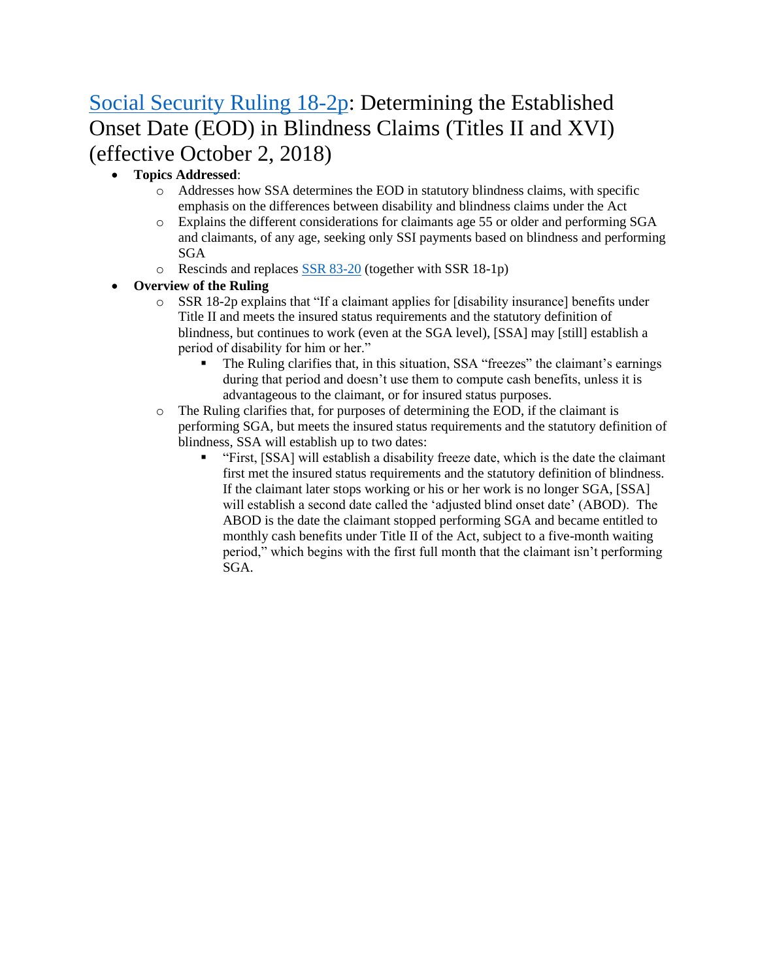# [Social Security Ruling 18-2p:](https://www.gpo.gov/fdsys/pkg/FR-2018-10-02/pdf/2018-21369.pdf) Determining the Established Onset Date (EOD) in Blindness Claims (Titles II and XVI) (effective October 2, 2018)

### • **Topics Addressed**:

- o Addresses how SSA determines the EOD in statutory blindness claims, with specific emphasis on the differences between disability and blindness claims under the Act
- o Explains the different considerations for claimants age 55 or older and performing SGA and claimants, of any age, seeking only SSI payments based on blindness and performing SGA
- $\circ$  Rescinds and replaces [SSR 83-20](https://www.ssa.gov/OP_Home/rulings/di/01/SSR83-20-di-01.html) (together with SSR 18-1p)

- $\circ$  SSR 18-2p explains that "If a claimant applies for [disability insurance] benefits under Title II and meets the insured status requirements and the statutory definition of blindness, but continues to work (even at the SGA level), [SSA] may [still] establish a period of disability for him or her."
	- The Ruling clarifies that, in this situation, SSA "freezes" the claimant's earnings during that period and doesn't use them to compute cash benefits, unless it is advantageous to the claimant, or for insured status purposes.
- o The Ruling clarifies that, for purposes of determining the EOD, if the claimant is performing SGA, but meets the insured status requirements and the statutory definition of blindness, SSA will establish up to two dates:
	- "First, [SSA] will establish a disability freeze date, which is the date the claimant first met the insured status requirements and the statutory definition of blindness. If the claimant later stops working or his or her work is no longer SGA, [SSA] will establish a second date called the 'adjusted blind onset date' (ABOD). The ABOD is the date the claimant stopped performing SGA and became entitled to monthly cash benefits under Title II of the Act, subject to a five-month waiting period," which begins with the first full month that the claimant isn't performing SGA.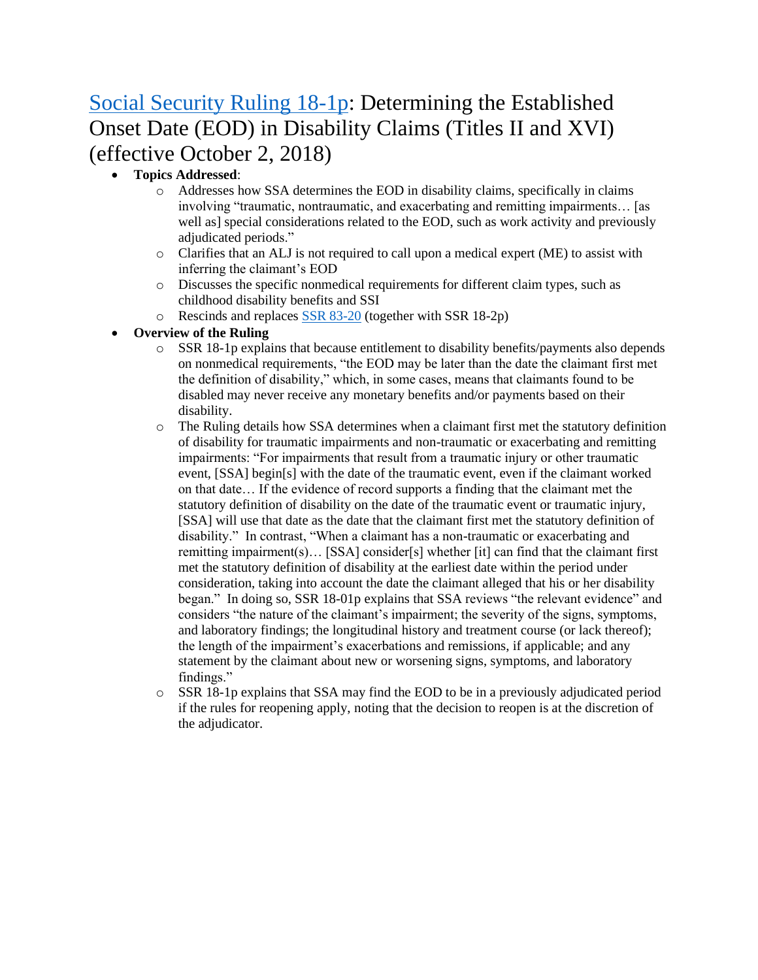# [Social Security Ruling 18-1p:](https://www.gpo.gov/fdsys/pkg/FR-2018-10-02/pdf/2018-21368.pdf) Determining the Established Onset Date (EOD) in Disability Claims (Titles II and XVI) (effective October 2, 2018)

### • **Topics Addressed**:

- o Addresses how SSA determines the EOD in disability claims, specifically in claims involving "traumatic, nontraumatic, and exacerbating and remitting impairments… [as well as] special considerations related to the EOD, such as work activity and previously adjudicated periods."
- o Clarifies that an ALJ is not required to call upon a medical expert (ME) to assist with inferring the claimant's EOD
- o Discusses the specific nonmedical requirements for different claim types, such as childhood disability benefits and SSI
- o Rescinds and replaces [SSR 83-20](https://www.ssa.gov/OP_Home/rulings/di/01/SSR83-20-di-01.html) (together with SSR 18-2p)

- o SSR 18-1p explains that because entitlement to disability benefits/payments also depends on nonmedical requirements, "the EOD may be later than the date the claimant first met the definition of disability," which, in some cases, means that claimants found to be disabled may never receive any monetary benefits and/or payments based on their disability.
- o The Ruling details how SSA determines when a claimant first met the statutory definition of disability for traumatic impairments and non-traumatic or exacerbating and remitting impairments: "For impairments that result from a traumatic injury or other traumatic event, [SSA] begin[s] with the date of the traumatic event, even if the claimant worked on that date… If the evidence of record supports a finding that the claimant met the statutory definition of disability on the date of the traumatic event or traumatic injury, [SSA] will use that date as the date that the claimant first met the statutory definition of disability." In contrast, "When a claimant has a non-traumatic or exacerbating and remitting impairment(s)… [SSA] consider[s] whether [it] can find that the claimant first met the statutory definition of disability at the earliest date within the period under consideration, taking into account the date the claimant alleged that his or her disability began." In doing so, SSR 18-01p explains that SSA reviews "the relevant evidence" and considers "the nature of the claimant's impairment; the severity of the signs, symptoms, and laboratory findings; the longitudinal history and treatment course (or lack thereof); the length of the impairment's exacerbations and remissions, if applicable; and any statement by the claimant about new or worsening signs, symptoms, and laboratory findings."
- $\circ$  SSR 18-1p explains that SSA may find the EOD to be in a previously adjudicated period if the rules for reopening apply, noting that the decision to reopen is at the discretion of the adjudicator.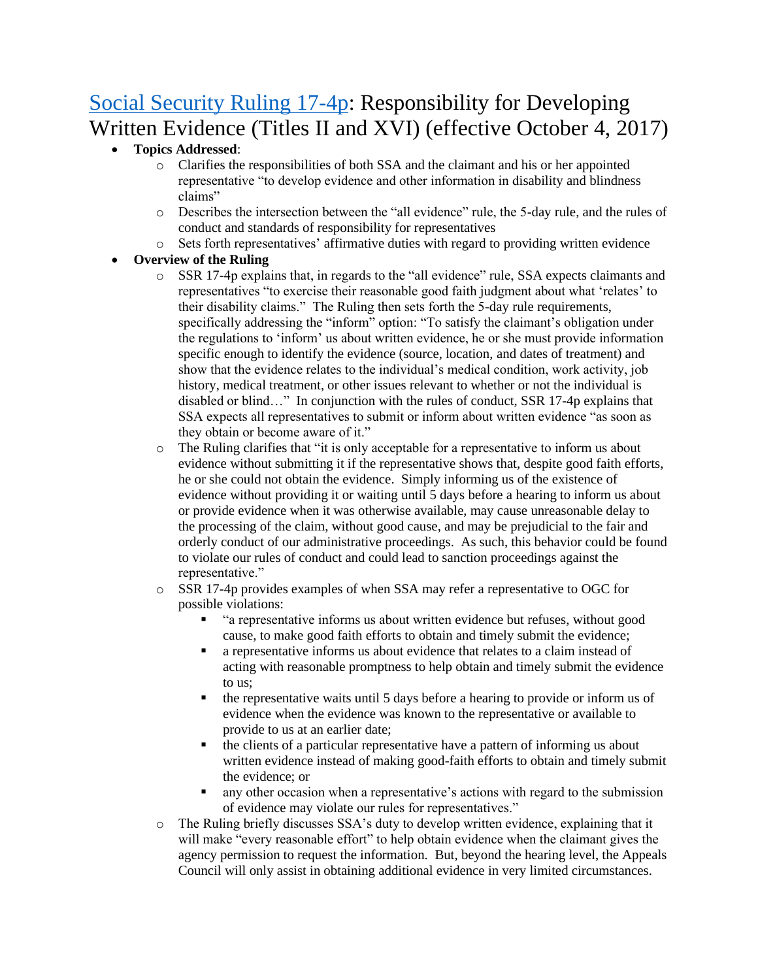# [Social Security Ruling 17-4p:](https://www.gpo.gov/fdsys/pkg/FR-2017-10-04/pdf/2017-21252.pdf) Responsibility for Developing Written Evidence (Titles II and XVI) (effective October 4, 2017)

#### • **Topics Addressed**:

- o Clarifies the responsibilities of both SSA and the claimant and his or her appointed representative "to develop evidence and other information in disability and blindness claims"
- o Describes the intersection between the "all evidence" rule, the 5-day rule, and the rules of conduct and standards of responsibility for representatives
- o Sets forth representatives' affirmative duties with regard to providing written evidence

- o SSR 17-4p explains that, in regards to the "all evidence" rule, SSA expects claimants and representatives "to exercise their reasonable good faith judgment about what 'relates' to their disability claims." The Ruling then sets forth the 5-day rule requirements, specifically addressing the "inform" option: "To satisfy the claimant's obligation under the regulations to 'inform' us about written evidence, he or she must provide information specific enough to identify the evidence (source, location, and dates of treatment) and show that the evidence relates to the individual's medical condition, work activity, job history, medical treatment, or other issues relevant to whether or not the individual is disabled or blind…" In conjunction with the rules of conduct, SSR 17-4p explains that SSA expects all representatives to submit or inform about written evidence "as soon as they obtain or become aware of it."
- o The Ruling clarifies that "it is only acceptable for a representative to inform us about evidence without submitting it if the representative shows that, despite good faith efforts, he or she could not obtain the evidence. Simply informing us of the existence of evidence without providing it or waiting until 5 days before a hearing to inform us about or provide evidence when it was otherwise available, may cause unreasonable delay to the processing of the claim, without good cause, and may be prejudicial to the fair and orderly conduct of our administrative proceedings. As such, this behavior could be found to violate our rules of conduct and could lead to sanction proceedings against the representative."
- o SSR 17-4p provides examples of when SSA may refer a representative to OGC for possible violations:
	- "a representative informs us about written evidence but refuses, without good cause, to make good faith efforts to obtain and timely submit the evidence;
	- a representative informs us about evidence that relates to a claim instead of acting with reasonable promptness to help obtain and timely submit the evidence to us;
	- the representative waits until 5 days before a hearing to provide or inform us of evidence when the evidence was known to the representative or available to provide to us at an earlier date;
	- the clients of a particular representative have a pattern of informing us about written evidence instead of making good-faith efforts to obtain and timely submit the evidence; or
	- any other occasion when a representative's actions with regard to the submission of evidence may violate our rules for representatives."
- o The Ruling briefly discusses SSA's duty to develop written evidence, explaining that it will make "every reasonable effort" to help obtain evidence when the claimant gives the agency permission to request the information. But, beyond the hearing level, the Appeals Council will only assist in obtaining additional evidence in very limited circumstances.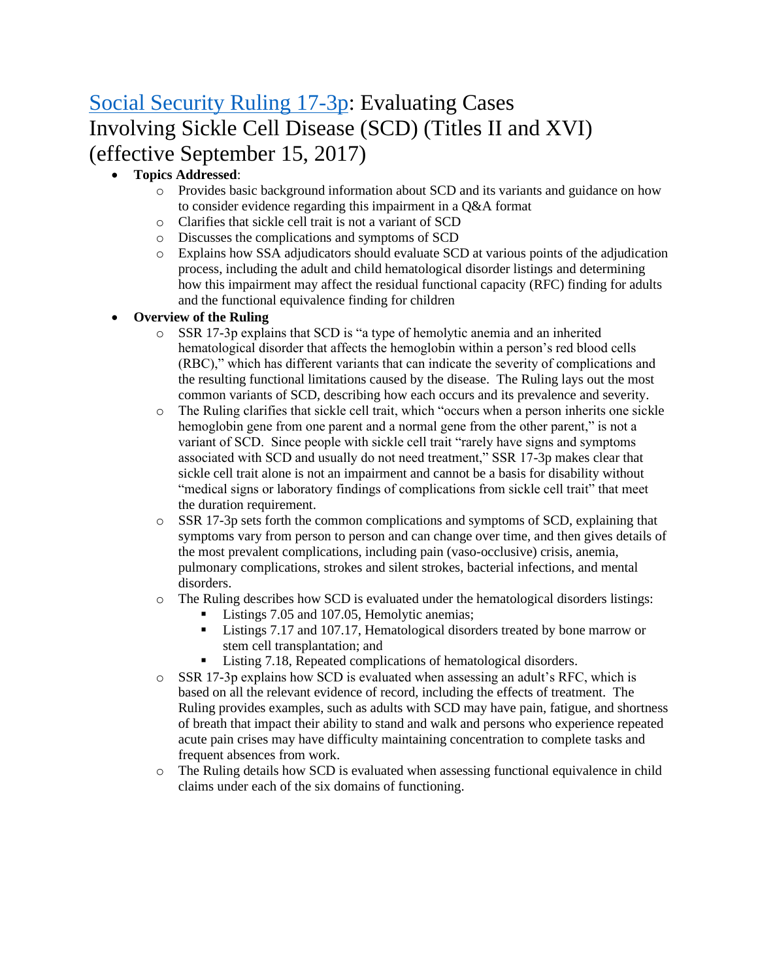# [Social Security Ruling 17-3p:](https://www.ssa.gov/OP_Home/rulings/PDF/2017-19551.pdf) Evaluating Cases Involving Sickle Cell Disease (SCD) (Titles II and XVI) (effective September 15, 2017)

### • **Topics Addressed**:

- o Provides basic background information about SCD and its variants and guidance on how to consider evidence regarding this impairment in a Q&A format
- o Clarifies that sickle cell trait is not a variant of SCD
- o Discusses the complications and symptoms of SCD
- o Explains how SSA adjudicators should evaluate SCD at various points of the adjudication process, including the adult and child hematological disorder listings and determining how this impairment may affect the residual functional capacity (RFC) finding for adults and the functional equivalence finding for children

- o SSR 17-3p explains that SCD is "a type of hemolytic anemia and an inherited hematological disorder that affects the hemoglobin within a person's red blood cells (RBC)," which has different variants that can indicate the severity of complications and the resulting functional limitations caused by the disease. The Ruling lays out the most common variants of SCD, describing how each occurs and its prevalence and severity.
- o The Ruling clarifies that sickle cell trait, which "occurs when a person inherits one sickle hemoglobin gene from one parent and a normal gene from the other parent," is not a variant of SCD. Since people with sickle cell trait "rarely have signs and symptoms associated with SCD and usually do not need treatment," SSR 17-3p makes clear that sickle cell trait alone is not an impairment and cannot be a basis for disability without "medical signs or laboratory findings of complications from sickle cell trait" that meet the duration requirement.
- $\circ$  SSR 17-3p sets forth the common complications and symptoms of SCD, explaining that symptoms vary from person to person and can change over time, and then gives details of the most prevalent complications, including pain (vaso-occlusive) crisis, anemia, pulmonary complications, strokes and silent strokes, bacterial infections, and mental disorders.
- o The Ruling describes how SCD is evaluated under the hematological disorders listings:
	- Listings 7.05 and 107.05, Hemolytic anemias;
	- Listings 7.17 and 107.17, Hematological disorders treated by bone marrow or stem cell transplantation; and
	- Listing 7.18, Repeated complications of hematological disorders.
- $\circ$  SSR 17-3p explains how SCD is evaluated when assessing an adult's RFC, which is based on all the relevant evidence of record, including the effects of treatment. The Ruling provides examples, such as adults with SCD may have pain, fatigue, and shortness of breath that impact their ability to stand and walk and persons who experience repeated acute pain crises may have difficulty maintaining concentration to complete tasks and frequent absences from work.
- o The Ruling details how SCD is evaluated when assessing functional equivalence in child claims under each of the six domains of functioning.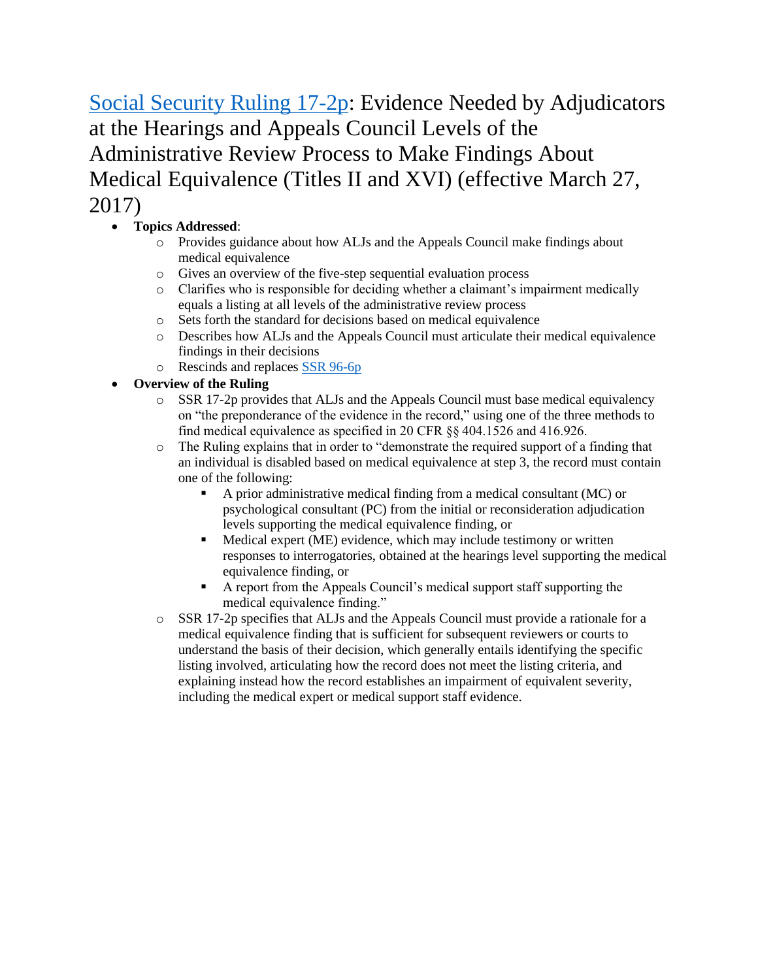[Social Security Ruling 17-2p:](https://www.ssa.gov/OP_Home/rulings/PDF/2017-05959.pdf) Evidence Needed by Adjudicators at the Hearings and Appeals Council Levels of the Administrative Review Process to Make Findings About Medical Equivalence (Titles II and XVI) (effective March 27, 2017)

## • **Topics Addressed**:

- o Provides guidance about how ALJs and the Appeals Council make findings about medical equivalence
- o Gives an overview of the five-step sequential evaluation process
- o Clarifies who is responsible for deciding whether a claimant's impairment medically equals a listing at all levels of the administrative review process
- o Sets forth the standard for decisions based on medical equivalence
- o Describes how ALJs and the Appeals Council must articulate their medical equivalence findings in their decisions
- o Rescinds and replaces [SSR 96-6p](https://www.ssa.gov/OP_Home/rulings/di/01/SSR96-06-di-01.html)
- **Overview of the Ruling**
	- $\circ$  SSR 17-2p provides that ALJs and the Appeals Council must base medical equivalency on "the preponderance of the evidence in the record," using one of the three methods to find medical equivalence as specified in 20 CFR §§ 404.1526 and 416.926.
	- o The Ruling explains that in order to "demonstrate the required support of a finding that an individual is disabled based on medical equivalence at step 3, the record must contain one of the following:
		- A prior administrative medical finding from a medical consultant (MC) or psychological consultant (PC) from the initial or reconsideration adjudication levels supporting the medical equivalence finding, or
		- Medical expert (ME) evidence, which may include testimony or written responses to interrogatories, obtained at the hearings level supporting the medical equivalence finding, or
		- A report from the Appeals Council's medical support staff supporting the medical equivalence finding."
	- o SSR 17-2p specifies that ALJs and the Appeals Council must provide a rationale for a medical equivalence finding that is sufficient for subsequent reviewers or courts to understand the basis of their decision, which generally entails identifying the specific listing involved, articulating how the record does not meet the listing criteria, and explaining instead how the record establishes an impairment of equivalent severity, including the medical expert or medical support staff evidence.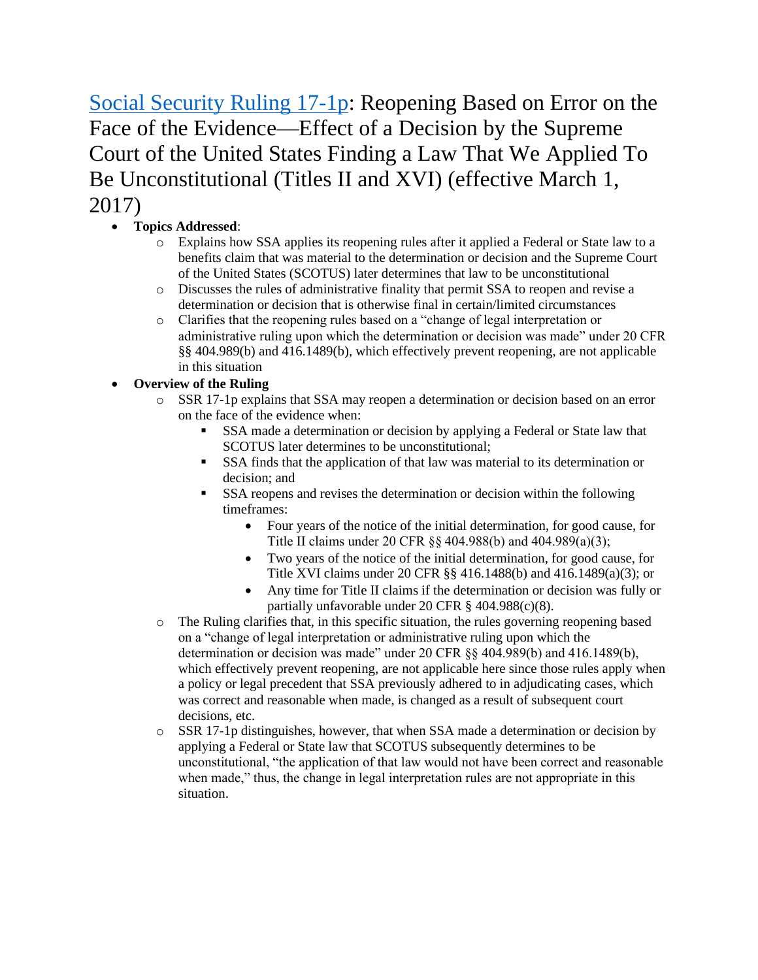[Social Security Ruling 17-1p:](https://www.gpo.gov/fdsys/pkg/FR-2017-03-01/pdf/2017-03932.pdf) Reopening Based on Error on the Face of the Evidence—Effect of a Decision by the Supreme Court of the United States Finding a Law That We Applied To Be Unconstitutional (Titles II and XVI) (effective March 1, 2017)

- **Topics Addressed**:
	- o Explains how SSA applies its reopening rules after it applied a Federal or State law to a benefits claim that was material to the determination or decision and the Supreme Court of the United States (SCOTUS) later determines that law to be unconstitutional
	- o Discusses the rules of administrative finality that permit SSA to reopen and revise a determination or decision that is otherwise final in certain/limited circumstances
	- o Clarifies that the reopening rules based on a "change of legal interpretation or administrative ruling upon which the determination or decision was made" under 20 CFR §§ 404.989(b) and 416.1489(b), which effectively prevent reopening, are not applicable in this situation

- o SSR 17-1p explains that SSA may reopen a determination or decision based on an error on the face of the evidence when:
	- SSA made a determination or decision by applying a Federal or State law that SCOTUS later determines to be unconstitutional;
	- SSA finds that the application of that law was material to its determination or decision; and
	- SSA reopens and revises the determination or decision within the following timeframes:
		- Four years of the notice of the initial determination, for good cause, for Title II claims under 20 CFR §§ 404.988(b) and 404.989(a)(3);
		- Two years of the notice of the initial determination, for good cause, for Title XVI claims under 20 CFR §§ 416.1488(b) and 416.1489(a)(3); or
		- Any time for Title II claims if the determination or decision was fully or partially unfavorable under 20 CFR § 404.988(c)(8).
- o The Ruling clarifies that, in this specific situation, the rules governing reopening based on a "change of legal interpretation or administrative ruling upon which the determination or decision was made" under 20 CFR §§ 404.989(b) and 416.1489(b), which effectively prevent reopening, are not applicable here since those rules apply when a policy or legal precedent that SSA previously adhered to in adjudicating cases, which was correct and reasonable when made, is changed as a result of subsequent court decisions, etc.
- $\circ$  SSR 17-1p distinguishes, however, that when SSA made a determination or decision by applying a Federal or State law that SCOTUS subsequently determines to be unconstitutional, "the application of that law would not have been correct and reasonable when made," thus, the change in legal interpretation rules are not appropriate in this situation.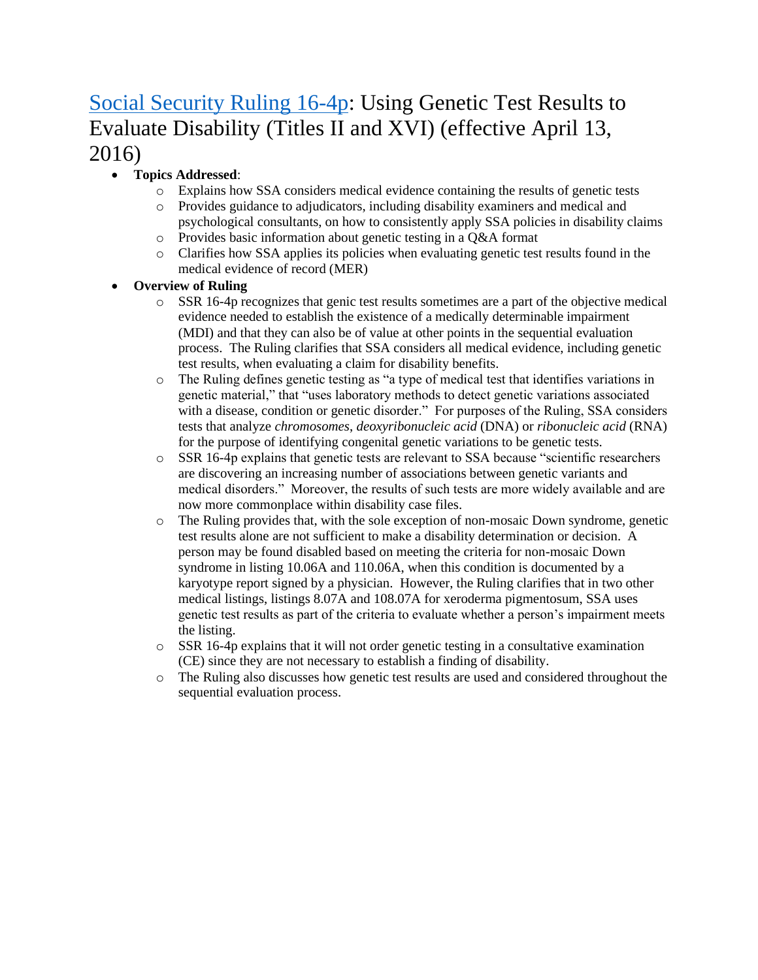# [Social Security Ruling 16-4p:](https://www.ssa.gov/OP_Home/rulings/PDF/2016-08467.pdf) Using Genetic Test Results to Evaluate Disability (Titles II and XVI) (effective April 13, 2016)

### • **Topics Addressed**:

- o Explains how SSA considers medical evidence containing the results of genetic tests
- o Provides guidance to adjudicators, including disability examiners and medical and psychological consultants, on how to consistently apply SSA policies in disability claims
- o Provides basic information about genetic testing in a Q&A format
- o Clarifies how SSA applies its policies when evaluating genetic test results found in the medical evidence of record (MER)

- $\circ$  SSR 16-4p recognizes that genic test results sometimes are a part of the objective medical evidence needed to establish the existence of a medically determinable impairment (MDI) and that they can also be of value at other points in the sequential evaluation process. The Ruling clarifies that SSA considers all medical evidence, including genetic test results, when evaluating a claim for disability benefits.
- o The Ruling defines genetic testing as "a type of medical test that identifies variations in genetic material," that "uses laboratory methods to detect genetic variations associated with a disease, condition or genetic disorder." For purposes of the Ruling, SSA considers tests that analyze *chromosomes*, *deoxyribonucleic acid* (DNA) or *ribonucleic acid* (RNA) for the purpose of identifying congenital genetic variations to be genetic tests.
- o SSR 16-4p explains that genetic tests are relevant to SSA because "scientific researchers are discovering an increasing number of associations between genetic variants and medical disorders." Moreover, the results of such tests are more widely available and are now more commonplace within disability case files.
- o The Ruling provides that, with the sole exception of non-mosaic Down syndrome, genetic test results alone are not sufficient to make a disability determination or decision. A person may be found disabled based on meeting the criteria for non-mosaic Down syndrome in listing 10.06A and 110.06A, when this condition is documented by a karyotype report signed by a physician. However, the Ruling clarifies that in two other medical listings, listings 8.07A and 108.07A for xeroderma pigmentosum, SSA uses genetic test results as part of the criteria to evaluate whether a person's impairment meets the listing.
- $\circ$  SSR 16-4p explains that it will not order genetic testing in a consultative examination (CE) since they are not necessary to establish a finding of disability.
- o The Ruling also discusses how genetic test results are used and considered throughout the sequential evaluation process.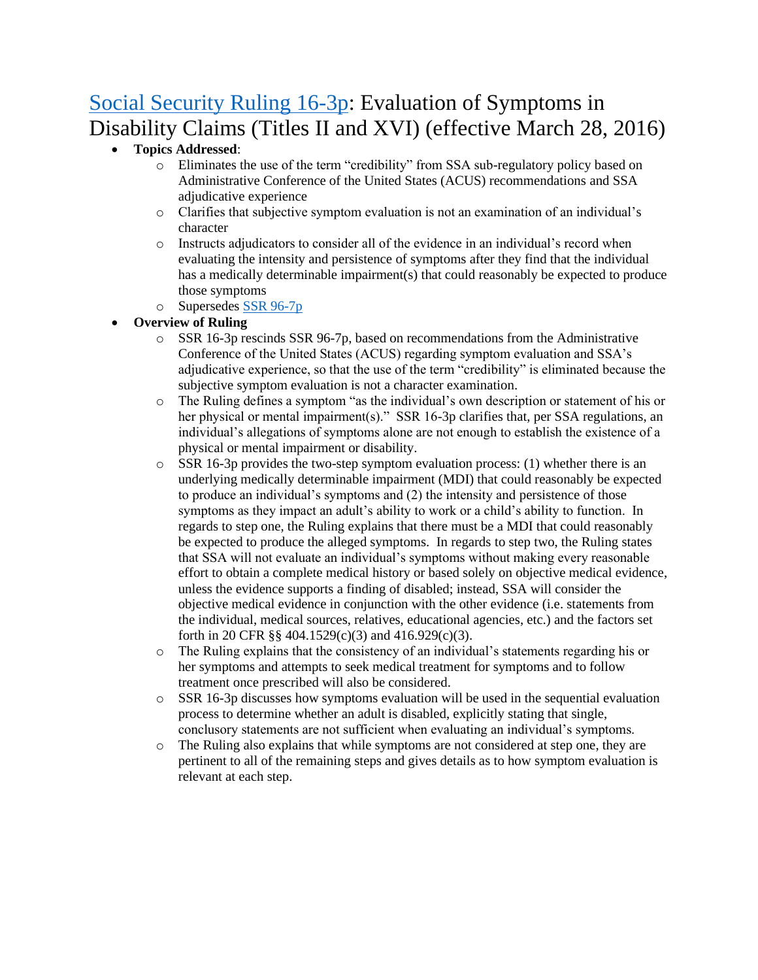# [Social Security Ruling 16-3p:](https://www.gpo.gov/fdsys/pkg/FR-2017-10-25/pdf/2017-23143.pdf) Evaluation of Symptoms in Disability Claims (Titles II and XVI) (effective March 28, 2016)

### • **Topics Addressed**:

- o Eliminates the use of the term "credibility" from SSA sub-regulatory policy based on Administrative Conference of the United States (ACUS) recommendations and SSA adjudicative experience
- o Clarifies that subjective symptom evaluation is not an examination of an individual's character
- o Instructs adjudicators to consider all of the evidence in an individual's record when evaluating the intensity and persistence of symptoms after they find that the individual has a medically determinable impairment(s) that could reasonably be expected to produce those symptoms
- o Supersedes [SSR 96-7p](https://www.ssa.gov/OP_Home/rulings/di/01/SSR96-07-di-01.html)
- **Overview of Ruling** 
	- $\circ$  SSR 16-3p rescinds SSR 96-7p, based on recommendations from the Administrative Conference of the United States (ACUS) regarding symptom evaluation and SSA's adjudicative experience, so that the use of the term "credibility" is eliminated because the subjective symptom evaluation is not a character examination.
	- o The Ruling defines a symptom "as the individual's own description or statement of his or her physical or mental impairment(s)." SSR 16-3p clarifies that, per SSA regulations, an individual's allegations of symptoms alone are not enough to establish the existence of a physical or mental impairment or disability.
	- $\circ$  SSR 16-3p provides the two-step symptom evaluation process: (1) whether there is an underlying medically determinable impairment (MDI) that could reasonably be expected to produce an individual's symptoms and (2) the intensity and persistence of those symptoms as they impact an adult's ability to work or a child's ability to function. In regards to step one, the Ruling explains that there must be a MDI that could reasonably be expected to produce the alleged symptoms. In regards to step two, the Ruling states that SSA will not evaluate an individual's symptoms without making every reasonable effort to obtain a complete medical history or based solely on objective medical evidence, unless the evidence supports a finding of disabled; instead, SSA will consider the objective medical evidence in conjunction with the other evidence (i.e. statements from the individual, medical sources, relatives, educational agencies, etc.) and the factors set forth in 20 CFR §§ 404.1529(c)(3) and 416.929(c)(3).
	- $\circ$  The Ruling explains that the consistency of an individual's statements regarding his or her symptoms and attempts to seek medical treatment for symptoms and to follow treatment once prescribed will also be considered.
	- $\circ$  SSR 16-3p discusses how symptoms evaluation will be used in the sequential evaluation process to determine whether an adult is disabled, explicitly stating that single, conclusory statements are not sufficient when evaluating an individual's symptoms.
	- o The Ruling also explains that while symptoms are not considered at step one, they are pertinent to all of the remaining steps and gives details as to how symptom evaluation is relevant at each step.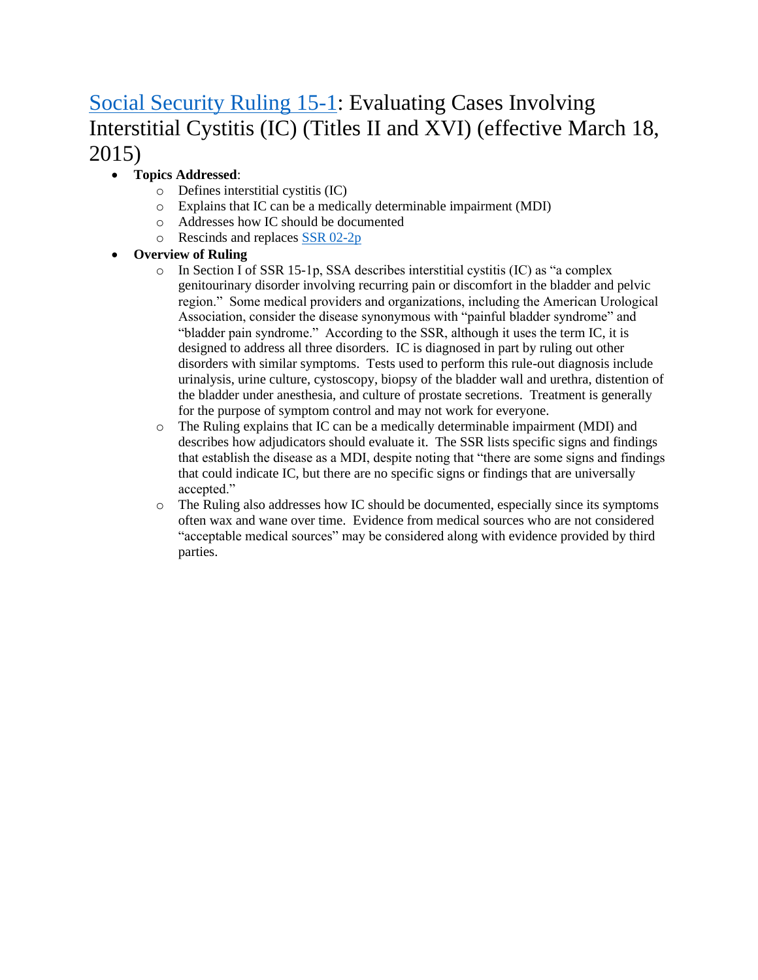# [Social Security Ruling 15-1:](https://www.ssa.gov/OP_Home/rulings/PDF/2015-05680.pdf) Evaluating Cases Involving Interstitial Cystitis (IC) (Titles II and XVI) (effective March 18, 2015)

### • **Topics Addressed**:

- o Defines interstitial cystitis (IC)
- o Explains that IC can be a medically determinable impairment (MDI)
- o Addresses how IC should be documented
- o Rescinds and replaces [SSR 02-2p](https://www.ssa.gov/OP_Home/rulings/di/01/SSR2002-02-di-01.html)

- $\circ$  In Section I of SSR 15-1p, SSA describes interstitial cystitis (IC) as "a complex genitourinary disorder involving recurring pain or discomfort in the bladder and pelvic region." Some medical providers and organizations, including the American Urological Association, consider the disease synonymous with "painful bladder syndrome" and "bladder pain syndrome." According to the SSR, although it uses the term IC, it is designed to address all three disorders. IC is diagnosed in part by ruling out other disorders with similar symptoms. Tests used to perform this rule-out diagnosis include urinalysis, urine culture, cystoscopy, biopsy of the bladder wall and urethra, distention of the bladder under anesthesia, and culture of prostate secretions. Treatment is generally for the purpose of symptom control and may not work for everyone.
- o The Ruling explains that IC can be a medically determinable impairment (MDI) and describes how adjudicators should evaluate it. The SSR lists specific signs and findings that establish the disease as a MDI, despite noting that "there are some signs and findings that could indicate IC, but there are no specific signs or findings that are universally accepted."
- o The Ruling also addresses how IC should be documented, especially since its symptoms often wax and wane over time. Evidence from medical sources who are not considered "acceptable medical sources" may be considered along with evidence provided by third parties.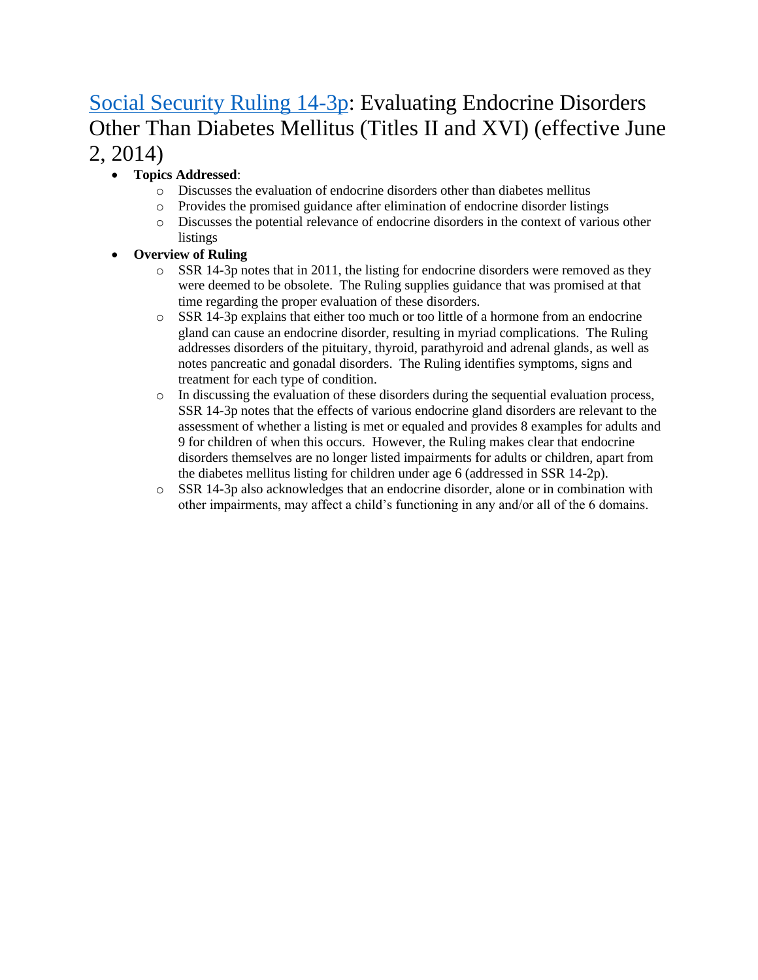# [Social Security Ruling 14-3p:](https://www.ssa.gov/OP_Home/rulings/PDF/2014-12699.pdf) Evaluating Endocrine Disorders Other Than Diabetes Mellitus (Titles II and XVI) (effective June 2, 2014)

- **Topics Addressed**:
	- o Discusses the evaluation of endocrine disorders other than diabetes mellitus
	- o Provides the promised guidance after elimination of endocrine disorder listings
	- o Discusses the potential relevance of endocrine disorders in the context of various other listings
- **Overview of Ruling** 
	- $\circ$  SSR 14-3p notes that in 2011, the listing for endocrine disorders were removed as they were deemed to be obsolete. The Ruling supplies guidance that was promised at that time regarding the proper evaluation of these disorders.
	- $\circ$  SSR 14-3p explains that either too much or too little of a hormone from an endocrine gland can cause an endocrine disorder, resulting in myriad complications. The Ruling addresses disorders of the pituitary, thyroid, parathyroid and adrenal glands, as well as notes pancreatic and gonadal disorders. The Ruling identifies symptoms, signs and treatment for each type of condition.
	- o In discussing the evaluation of these disorders during the sequential evaluation process, SSR 14-3p notes that the effects of various endocrine gland disorders are relevant to the assessment of whether a listing is met or equaled and provides 8 examples for adults and 9 for children of when this occurs. However, the Ruling makes clear that endocrine disorders themselves are no longer listed impairments for adults or children, apart from the diabetes mellitus listing for children under age 6 (addressed in SSR 14-2p).
	- $\circ$  SSR 14-3p also acknowledges that an endocrine disorder, alone or in combination with other impairments, may affect a child's functioning in any and/or all of the 6 domains.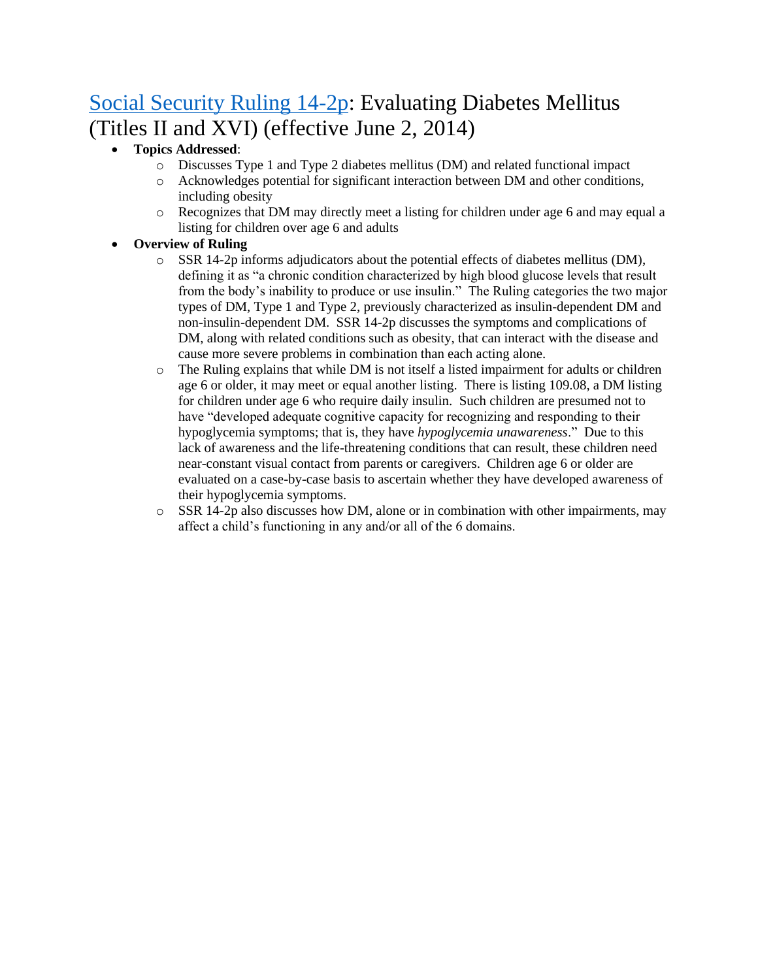# [Social Security Ruling 14-2p:](https://www.ssa.gov/OP_Home/rulings/PDF/2014-12601.pdf) Evaluating Diabetes Mellitus (Titles II and XVI) (effective June 2, 2014)

- **Topics Addressed**:
	- o Discusses Type 1 and Type 2 diabetes mellitus (DM) and related functional impact
	- o Acknowledges potential for significant interaction between DM and other conditions, including obesity
	- o Recognizes that DM may directly meet a listing for children under age 6 and may equal a listing for children over age 6 and adults

- $\circ$  SSR 14-2p informs adjudicators about the potential effects of diabetes mellitus (DM), defining it as "a chronic condition characterized by high blood glucose levels that result from the body's inability to produce or use insulin." The Ruling categories the two major types of DM, Type 1 and Type 2, previously characterized as insulin-dependent DM and non-insulin-dependent DM. SSR 14-2p discusses the symptoms and complications of DM, along with related conditions such as obesity, that can interact with the disease and cause more severe problems in combination than each acting alone.
- $\circ$  The Ruling explains that while DM is not itself a listed impairment for adults or children age 6 or older, it may meet or equal another listing. There is listing 109.08, a DM listing for children under age 6 who require daily insulin. Such children are presumed not to have "developed adequate cognitive capacity for recognizing and responding to their hypoglycemia symptoms; that is, they have *hypoglycemia unawareness*." Due to this lack of awareness and the life-threatening conditions that can result, these children need near-constant visual contact from parents or caregivers. Children age 6 or older are evaluated on a case-by-case basis to ascertain whether they have developed awareness of their hypoglycemia symptoms.
- o SSR 14-2p also discusses how DM, alone or in combination with other impairments, may affect a child's functioning in any and/or all of the 6 domains.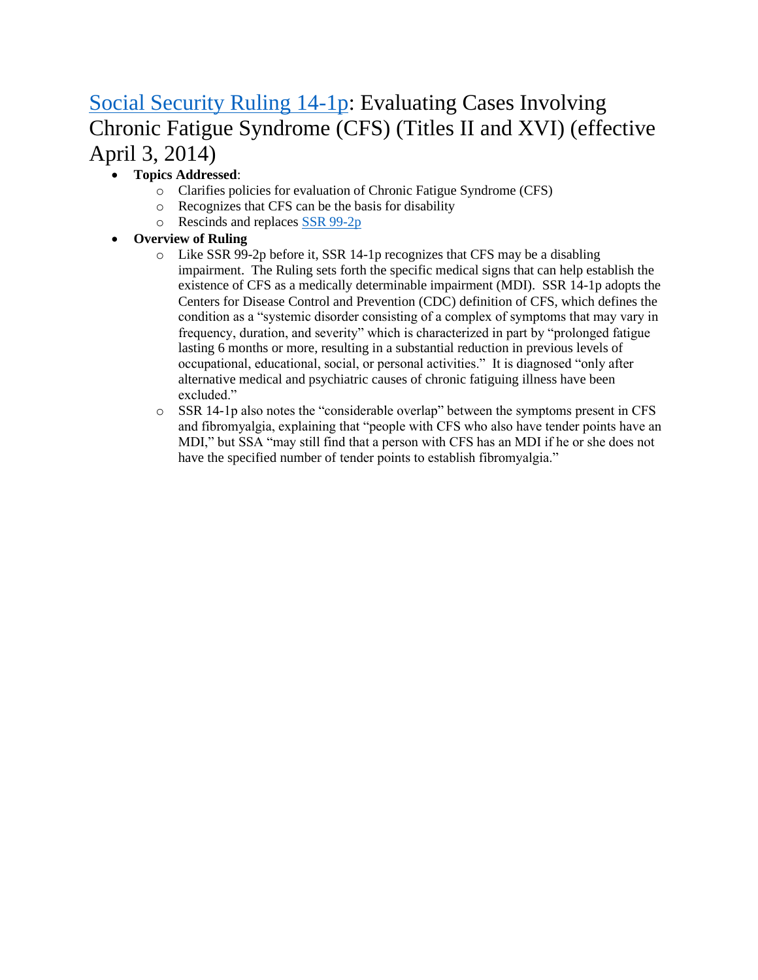# [Social Security Ruling 14-1p:](https://www.ssa.gov/OP_Home/rulings/PDF/2014-07465.pdf) Evaluating Cases Involving Chronic Fatigue Syndrome (CFS) (Titles II and XVI) (effective April 3, 2014)

### • **Topics Addressed**:

- o Clarifies policies for evaluation of Chronic Fatigue Syndrome (CFS)
- o Recognizes that CFS can be the basis for disability
- o Rescinds and replaces [SSR 99-2p](https://www.ssa.gov/OP_Home/rulings/di/01/SSR99-02-di-01.html)

- $\circ$  Like SSR 99-2p before it, SSR 14-1p recognizes that CFS may be a disabling impairment. The Ruling sets forth the specific medical signs that can help establish the existence of CFS as a medically determinable impairment (MDI). SSR 14-1p adopts the Centers for Disease Control and Prevention (CDC) definition of CFS, which defines the condition as a "systemic disorder consisting of a complex of symptoms that may vary in frequency, duration, and severity" which is characterized in part by "prolonged fatigue lasting 6 months or more, resulting in a substantial reduction in previous levels of occupational, educational, social, or personal activities." It is diagnosed "only after alternative medical and psychiatric causes of chronic fatiguing illness have been excluded."
- o SSR 14-1p also notes the "considerable overlap" between the symptoms present in CFS and fibromyalgia, explaining that "people with CFS who also have tender points have an MDI," but SSA "may still find that a person with CFS has an MDI if he or she does not have the specified number of tender points to establish fibromyalgia."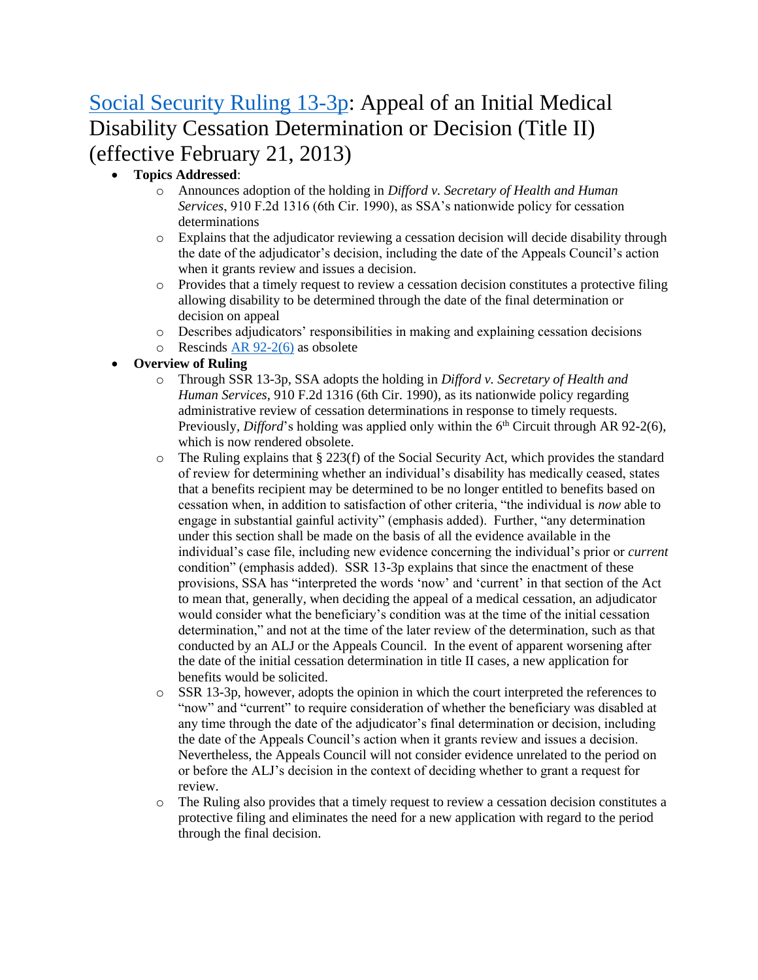# [Social Security Ruling 13-3p:](https://www.ssa.gov/OP_Home/rulings/PDF/2013-03914.pdf) Appeal of an Initial Medical Disability Cessation Determination or Decision (Title II) (effective February 21, 2013)

#### • **Topics Addressed**:

- o Announces adoption of the holding in *Difford v. Secretary of Health and Human Services*, 910 F.2d 1316 (6th Cir. 1990), as SSA's nationwide policy for cessation determinations
- o Explains that the adjudicator reviewing a cessation decision will decide disability through the date of the adjudicator's decision, including the date of the Appeals Council's action when it grants review and issues a decision.
- $\circ$  Provides that a timely request to review a cessation decision constitutes a protective filing allowing disability to be determined through the date of the final determination or decision on appeal
- o Describes adjudicators' responsibilities in making and explaining cessation decisions
- $\circ$  Rescinds [AR 92-2\(6\)](https://www.ssa.gov/OP_Home/rulings/ar/06/AR92-02-ar-06.html) as obsolete

- o Through SSR 13-3p, SSA adopts the holding in *Difford v. Secretary of Health and Human Services*, 910 F.2d 1316 (6th Cir. 1990), as its nationwide policy regarding administrative review of cessation determinations in response to timely requests. Previously, *Difford*'s holding was applied only within the 6<sup>th</sup> Circuit through AR 92-2(6), which is now rendered obsolete.
- $\circ$  The Ruling explains that § 223(f) of the Social Security Act, which provides the standard of review for determining whether an individual's disability has medically ceased, states that a benefits recipient may be determined to be no longer entitled to benefits based on cessation when, in addition to satisfaction of other criteria, "the individual is *now* able to engage in substantial gainful activity" (emphasis added). Further, "any determination under this section shall be made on the basis of all the evidence available in the individual's case file, including new evidence concerning the individual's prior or *current* condition" (emphasis added). SSR 13-3p explains that since the enactment of these provisions, SSA has "interpreted the words 'now' and 'current' in that section of the Act to mean that, generally, when deciding the appeal of a medical cessation, an adjudicator would consider what the beneficiary's condition was at the time of the initial cessation determination," and not at the time of the later review of the determination, such as that conducted by an ALJ or the Appeals Council. In the event of apparent worsening after the date of the initial cessation determination in title II cases, a new application for benefits would be solicited.
- $\circ$  SSR 13-3p, however, adopts the opinion in which the court interpreted the references to "now" and "current" to require consideration of whether the beneficiary was disabled at any time through the date of the adjudicator's final determination or decision, including the date of the Appeals Council's action when it grants review and issues a decision. Nevertheless, the Appeals Council will not consider evidence unrelated to the period on or before the ALJ's decision in the context of deciding whether to grant a request for review.
- o The Ruling also provides that a timely request to review a cessation decision constitutes a protective filing and eliminates the need for a new application with regard to the period through the final decision.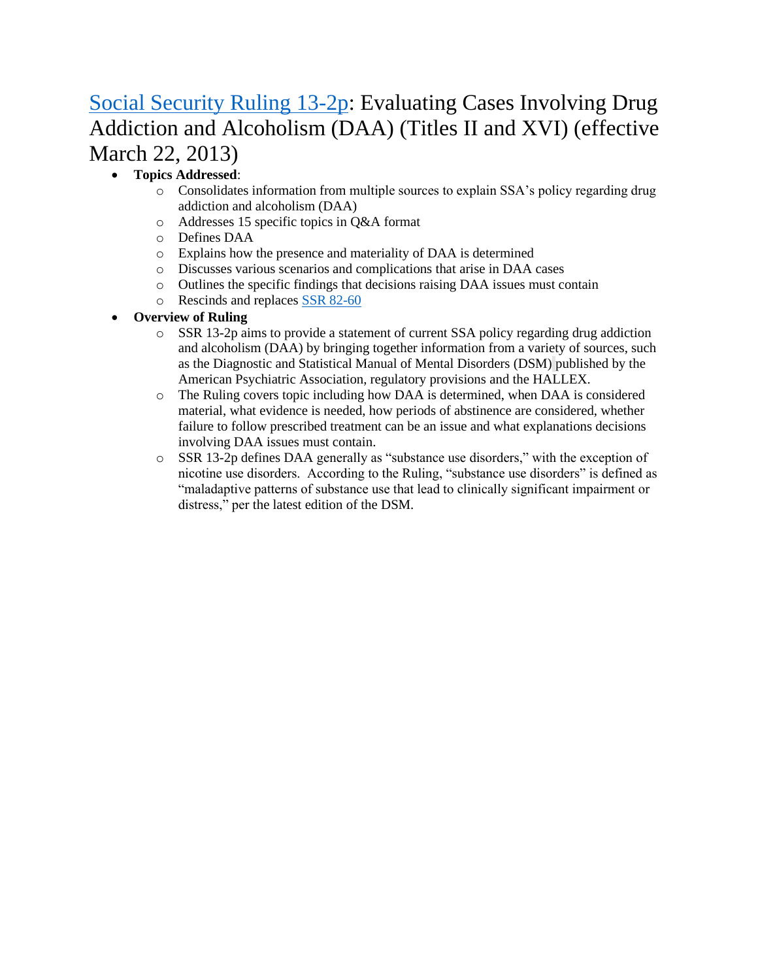# [Social Security Ruling 13-2p:](https://www.ssa.gov/OP_Home/rulings/PDF/2013-03751.pdf) Evaluating Cases Involving Drug Addiction and Alcoholism (DAA) (Titles II and XVI) (effective March 22, 2013)

### • **Topics Addressed**:

- o Consolidates information from multiple sources to explain SSA's policy regarding drug addiction and alcoholism (DAA)
- o Addresses 15 specific topics in Q&A format
- o Defines DAA
- o Explains how the presence and materiality of DAA is determined
- o Discusses various scenarios and complications that arise in DAA cases
- o Outlines the specific findings that decisions raising DAA issues must contain
- o Rescinds and replaces [SSR 82-60](https://www.ssa.gov/OP_Home/rulings/di/01/SSR82-60-di-01.html)

- o SSR 13-2p aims to provide a statement of current SSA policy regarding drug addiction and alcoholism (DAA) by bringing together information from a variety of sources, such as the Diagnostic and Statistical Manual of Mental Disorders (DSM) published by the American Psychiatric Association, regulatory provisions and the HALLEX.
- o The Ruling covers topic including how DAA is determined, when DAA is considered material, what evidence is needed, how periods of abstinence are considered, whether failure to follow prescribed treatment can be an issue and what explanations decisions involving DAA issues must contain.
- o SSR 13-2p defines DAA generally as "substance use disorders," with the exception of nicotine use disorders. According to the Ruling, "substance use disorders" is defined as "maladaptive patterns of substance use that lead to clinically significant impairment or distress," per the latest edition of the DSM.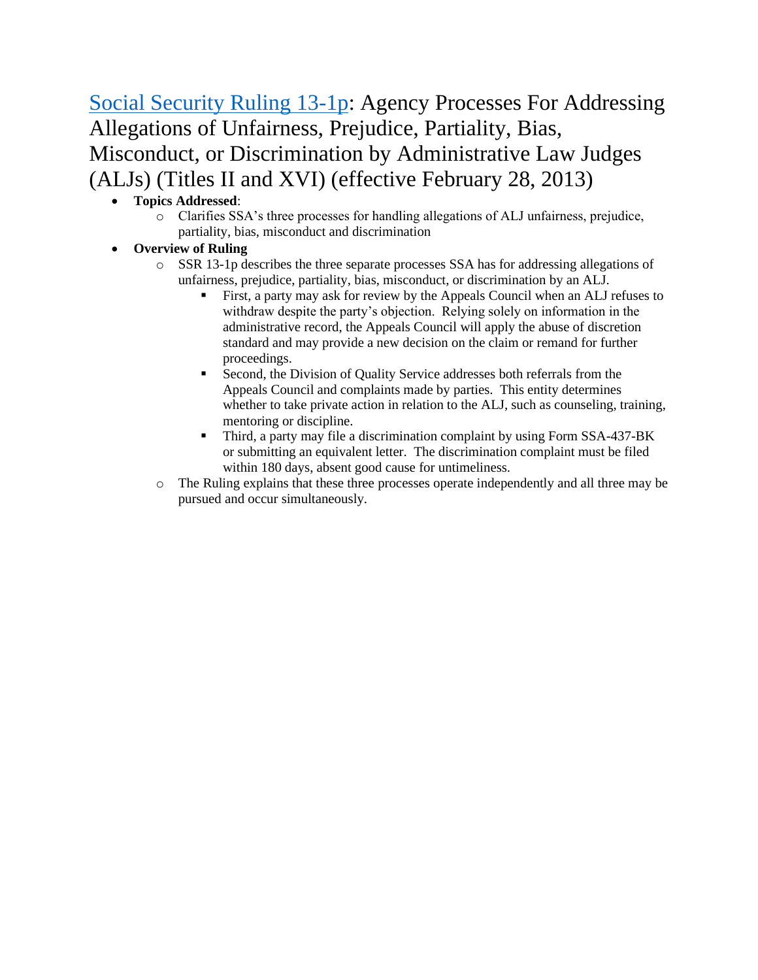[Social Security Ruling 13-1p:](https://www.ssa.gov/OP_Home/rulings/PDF/2013-01833.pdf) Agency Processes For Addressing Allegations of Unfairness, Prejudice, Partiality, Bias, Misconduct, or Discrimination by Administrative Law Judges (ALJs) (Titles II and XVI) (effective February 28, 2013)

- **Topics Addressed**:
	- o Clarifies SSA's three processes for handling allegations of ALJ unfairness, prejudice, partiality, bias, misconduct and discrimination
- **Overview of Ruling**
	- o SSR 13-1p describes the three separate processes SSA has for addressing allegations of unfairness, prejudice, partiality, bias, misconduct, or discrimination by an ALJ.
		- First, a party may ask for review by the Appeals Council when an ALJ refuses to withdraw despite the party's objection. Relying solely on information in the administrative record, the Appeals Council will apply the abuse of discretion standard and may provide a new decision on the claim or remand for further proceedings.
		- Second, the Division of Quality Service addresses both referrals from the Appeals Council and complaints made by parties. This entity determines whether to take private action in relation to the ALJ, such as counseling, training, mentoring or discipline.
		- Third, a party may file a discrimination complaint by using Form SSA-437-BK or submitting an equivalent letter. The discrimination complaint must be filed within 180 days, absent good cause for untimeliness.
	- o The Ruling explains that these three processes operate independently and all three may be pursued and occur simultaneously.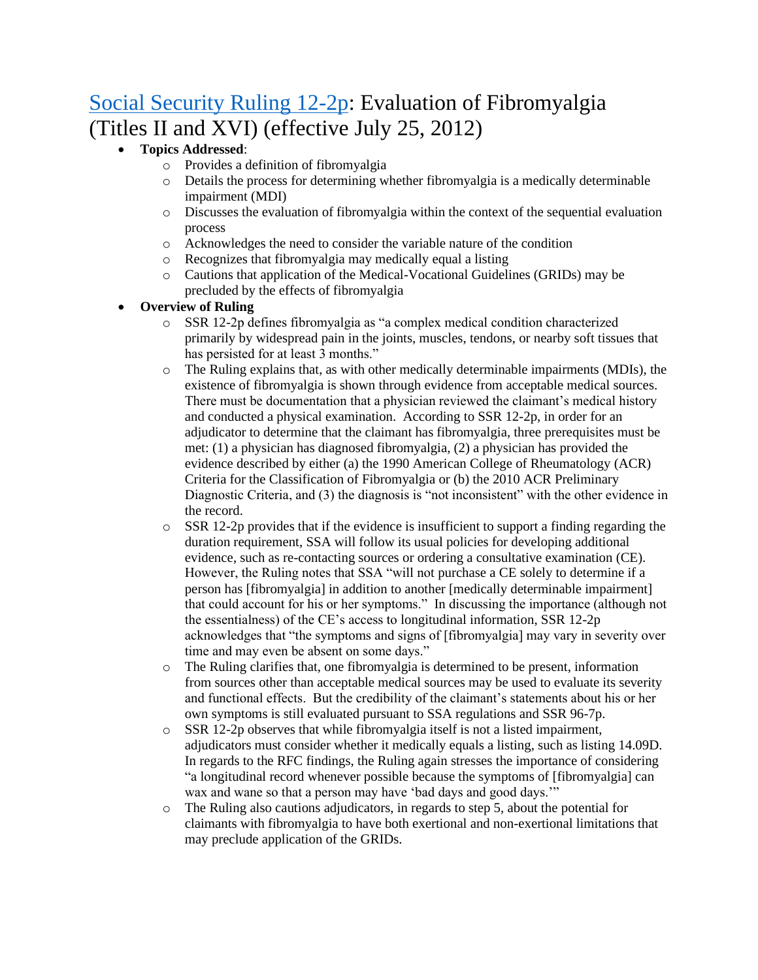# [Social Security Ruling 12-2p:](https://www.ssa.gov/OP_Home/rulings/PDF/2012-17936.pdf) Evaluation of Fibromyalgia (Titles II and XVI) (effective July 25, 2012)

- **Topics Addressed**:
	- o Provides a definition of fibromyalgia
	- o Details the process for determining whether fibromyalgia is a medically determinable impairment (MDI)
	- o Discusses the evaluation of fibromyalgia within the context of the sequential evaluation process
	- o Acknowledges the need to consider the variable nature of the condition
	- o Recognizes that fibromyalgia may medically equal a listing
	- o Cautions that application of the Medical-Vocational Guidelines (GRIDs) may be precluded by the effects of fibromyalgia

- SSR 12-2p defines fibromyalgia as "a complex medical condition characterized primarily by widespread pain in the joints, muscles, tendons, or nearby soft tissues that has persisted for at least 3 months."
- o The Ruling explains that, as with other medically determinable impairments (MDIs), the existence of fibromyalgia is shown through evidence from acceptable medical sources. There must be documentation that a physician reviewed the claimant's medical history and conducted a physical examination. According to SSR 12-2p, in order for an adjudicator to determine that the claimant has fibromyalgia, three prerequisites must be met: (1) a physician has diagnosed fibromyalgia, (2) a physician has provided the evidence described by either (a) the 1990 American College of Rheumatology (ACR) Criteria for the Classification of Fibromyalgia or (b) the 2010 ACR Preliminary Diagnostic Criteria, and (3) the diagnosis is "not inconsistent" with the other evidence in the record.
- $\circ$  SSR 12-2p provides that if the evidence is insufficient to support a finding regarding the duration requirement, SSA will follow its usual policies for developing additional evidence, such as re-contacting sources or ordering a consultative examination (CE). However, the Ruling notes that SSA "will not purchase a CE solely to determine if a person has [fibromyalgia] in addition to another [medically determinable impairment] that could account for his or her symptoms." In discussing the importance (although not the essentialness) of the CE's access to longitudinal information, SSR 12-2p acknowledges that "the symptoms and signs of [fibromyalgia] may vary in severity over time and may even be absent on some days."
- o The Ruling clarifies that, one fibromyalgia is determined to be present, information from sources other than acceptable medical sources may be used to evaluate its severity and functional effects. But the credibility of the claimant's statements about his or her own symptoms is still evaluated pursuant to SSA regulations and SSR 96-7p.
- o SSR 12-2p observes that while fibromyalgia itself is not a listed impairment, adjudicators must consider whether it medically equals a listing, such as listing 14.09D. In regards to the RFC findings, the Ruling again stresses the importance of considering "a longitudinal record whenever possible because the symptoms of [fibromyalgia] can wax and wane so that a person may have 'bad days and good days.'"
- o The Ruling also cautions adjudicators, in regards to step 5, about the potential for claimants with fibromyalgia to have both exertional and non-exertional limitations that may preclude application of the GRIDs.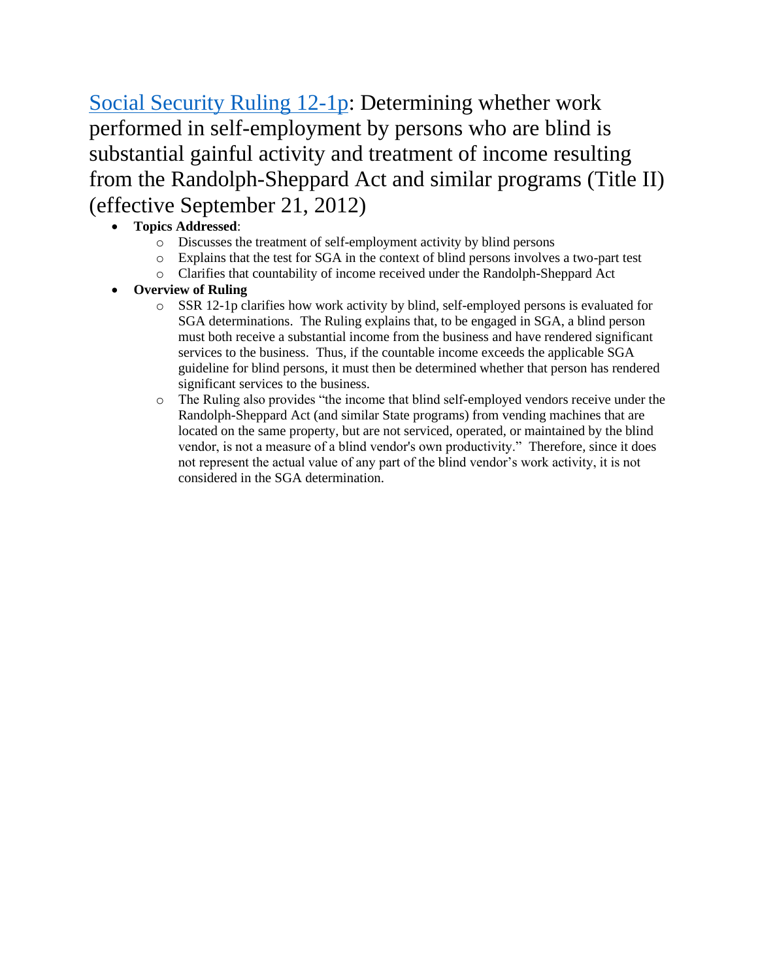[Social Security Ruling 12-1p:](https://www.ssa.gov/OP_Home/rulings/PDF/2012-23321.pdf) Determining whether work performed in self-employment by persons who are blind is substantial gainful activity and treatment of income resulting from the Randolph-Sheppard Act and similar programs (Title II) (effective September 21, 2012)

- **Topics Addressed**:
	- o Discusses the treatment of self-employment activity by blind persons
	- o Explains that the test for SGA in the context of blind persons involves a two-part test
	- o Clarifies that countability of income received under the Randolph-Sheppard Act
- **Overview of Ruling** 
	- o SSR 12-1p clarifies how work activity by blind, self-employed persons is evaluated for SGA determinations. The Ruling explains that, to be engaged in SGA, a blind person must both receive a substantial income from the business and have rendered significant services to the business. Thus, if the countable income exceeds the applicable SGA guideline for blind persons, it must then be determined whether that person has rendered significant services to the business.
	- o The Ruling also provides "the income that blind self-employed vendors receive under the Randolph-Sheppard Act (and similar State programs) from vending machines that are located on the same property, but are not serviced, operated, or maintained by the blind vendor, is not a measure of a blind vendor's own productivity." Therefore, since it does not represent the actual value of any part of the blind vendor's work activity, it is not considered in the SGA determination.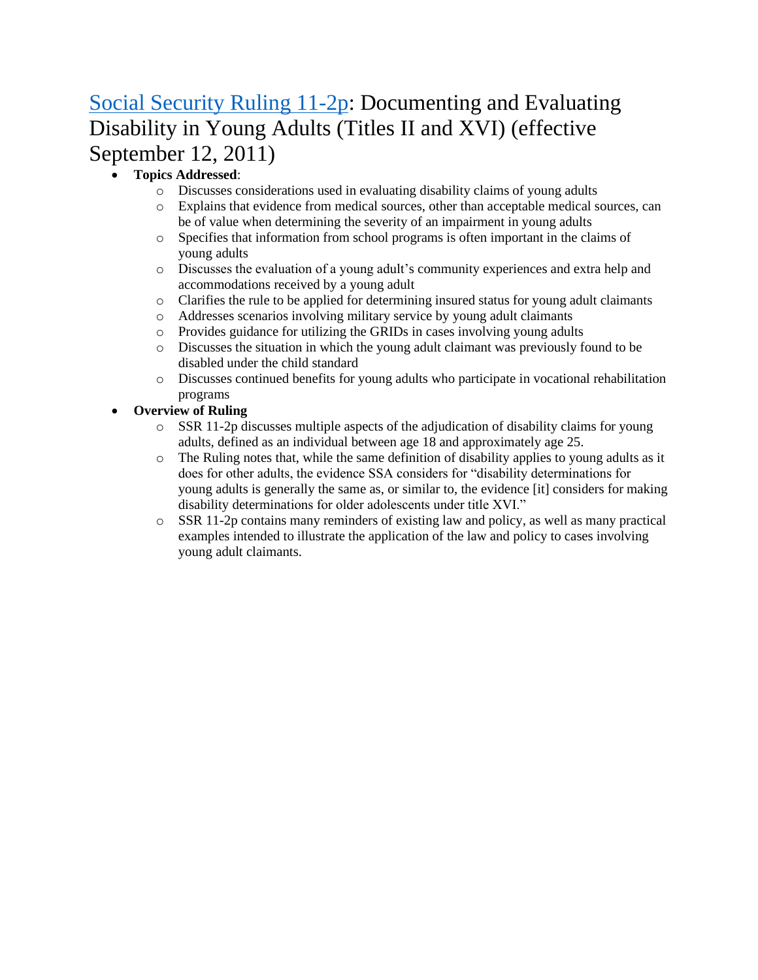# [Social Security Ruling 11-2p:](https://www.gpo.gov/fdsys/pkg/FR-2011-09-12/pdf/2011-23239.pdf) Documenting and Evaluating Disability in Young Adults (Titles II and XVI) (effective September 12, 2011)

### • **Topics Addressed**:

- o Discusses considerations used in evaluating disability claims of young adults
- o Explains that evidence from medical sources, other than acceptable medical sources, can be of value when determining the severity of an impairment in young adults
- o Specifies that information from school programs is often important in the claims of young adults
- o Discusses the evaluation of a young adult's community experiences and extra help and accommodations received by a young adult
- o Clarifies the rule to be applied for determining insured status for young adult claimants
- o Addresses scenarios involving military service by young adult claimants
- o Provides guidance for utilizing the GRIDs in cases involving young adults
- o Discusses the situation in which the young adult claimant was previously found to be disabled under the child standard
- o Discusses continued benefits for young adults who participate in vocational rehabilitation programs
- **Overview of Ruling** 
	- $\circ$  SSR 11-2p discusses multiple aspects of the adjudication of disability claims for young adults, defined as an individual between age 18 and approximately age 25.
	- $\circ$  The Ruling notes that, while the same definition of disability applies to young adults as it does for other adults, the evidence SSA considers for "disability determinations for young adults is generally the same as, or similar to, the evidence [it] considers for making disability determinations for older adolescents under title XVI."
	- o SSR 11-2p contains many reminders of existing law and policy, as well as many practical examples intended to illustrate the application of the law and policy to cases involving young adult claimants.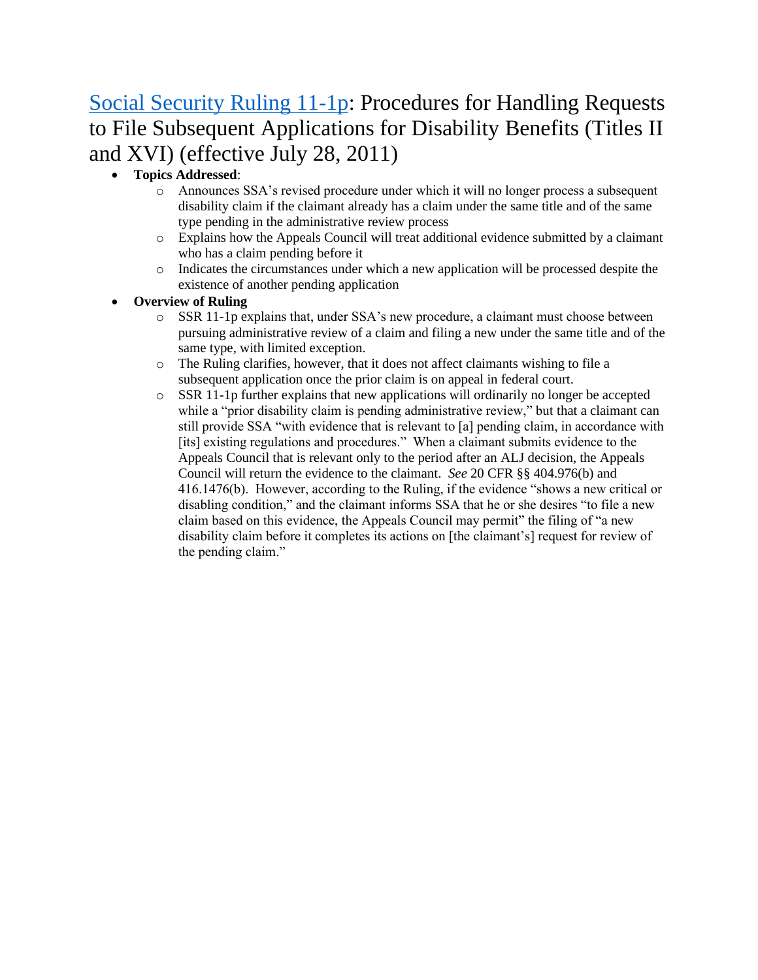# [Social Security Ruling 11-1p:](https://www.gpo.gov/fdsys/pkg/FR-2011-07-28/pdf/2011-19103.pdf) Procedures for Handling Requests to File Subsequent Applications for Disability Benefits (Titles II and XVI) (effective July 28, 2011)

- **Topics Addressed**:
	- o Announces SSA's revised procedure under which it will no longer process a subsequent disability claim if the claimant already has a claim under the same title and of the same type pending in the administrative review process
	- o Explains how the Appeals Council will treat additional evidence submitted by a claimant who has a claim pending before it
	- o Indicates the circumstances under which a new application will be processed despite the existence of another pending application
- **Overview of Ruling** 
	- o SSR 11-1p explains that, under SSA's new procedure, a claimant must choose between pursuing administrative review of a claim and filing a new under the same title and of the same type, with limited exception.
	- o The Ruling clarifies, however, that it does not affect claimants wishing to file a subsequent application once the prior claim is on appeal in federal court.
	- $\circ$  SSR 11-1p further explains that new applications will ordinarily no longer be accepted while a "prior disability claim is pending administrative review," but that a claimant can still provide SSA "with evidence that is relevant to [a] pending claim, in accordance with [its] existing regulations and procedures." When a claimant submits evidence to the Appeals Council that is relevant only to the period after an ALJ decision, the Appeals Council will return the evidence to the claimant. *See* 20 CFR §§ 404.976(b) and 416.1476(b). However, according to the Ruling, if the evidence "shows a new critical or disabling condition," and the claimant informs SSA that he or she desires "to file a new claim based on this evidence, the Appeals Council may permit" the filing of "a new disability claim before it completes its actions on [the claimant's] request for review of the pending claim."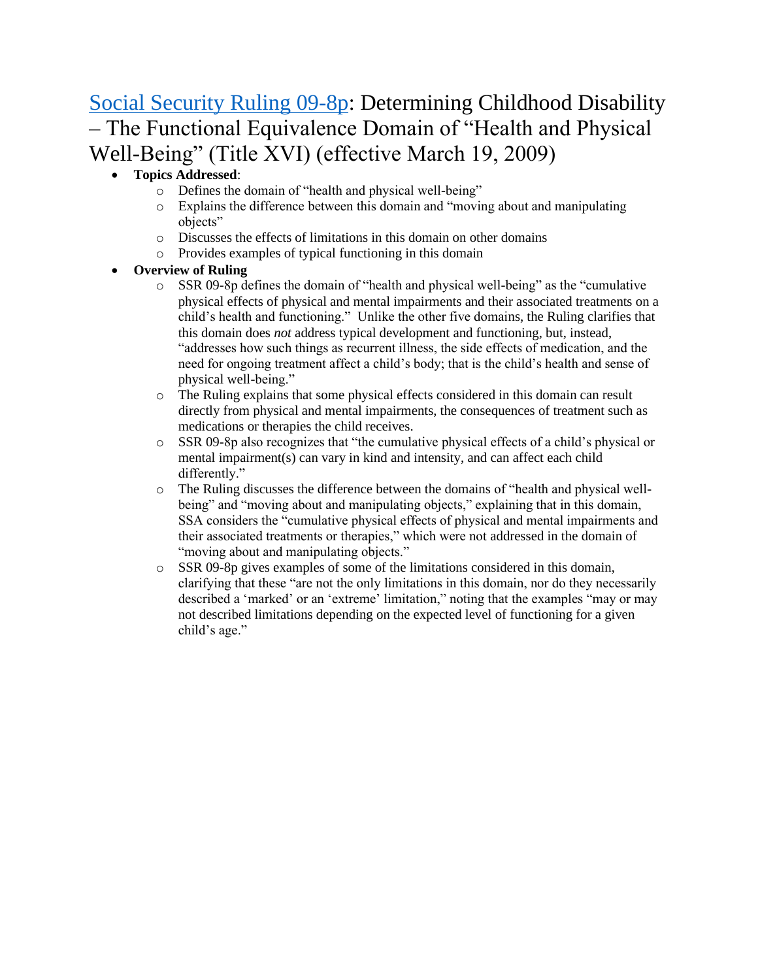# [Social Security Ruling 09-8p:](https://www.gpo.gov/fdsys/pkg/FR-2009-02-17/pdf/E9-3385.pdf) Determining Childhood Disability – The Functional Equivalence Domain of "Health and Physical Well-Being" (Title XVI) (effective March 19, 2009)

### • **Topics Addressed**:

- o Defines the domain of "health and physical well-being"
- o Explains the difference between this domain and "moving about and manipulating objects"
- o Discusses the effects of limitations in this domain on other domains
- o Provides examples of typical functioning in this domain

- o SSR 09-8p defines the domain of "health and physical well-being" as the "cumulative physical effects of physical and mental impairments and their associated treatments on a child's health and functioning." Unlike the other five domains, the Ruling clarifies that this domain does *not* address typical development and functioning, but, instead, "addresses how such things as recurrent illness, the side effects of medication, and the need for ongoing treatment affect a child's body; that is the child's health and sense of physical well-being."
- o The Ruling explains that some physical effects considered in this domain can result directly from physical and mental impairments, the consequences of treatment such as medications or therapies the child receives.
- o SSR 09-8p also recognizes that "the cumulative physical effects of a child's physical or mental impairment(s) can vary in kind and intensity, and can affect each child differently."
- o The Ruling discusses the difference between the domains of "health and physical wellbeing" and "moving about and manipulating objects," explaining that in this domain, SSA considers the "cumulative physical effects of physical and mental impairments and their associated treatments or therapies," which were not addressed in the domain of "moving about and manipulating objects."
- $\circ$  SSR 09-8p gives examples of some of the limitations considered in this domain, clarifying that these "are not the only limitations in this domain, nor do they necessarily described a 'marked' or an 'extreme' limitation," noting that the examples "may or may not described limitations depending on the expected level of functioning for a given child's age."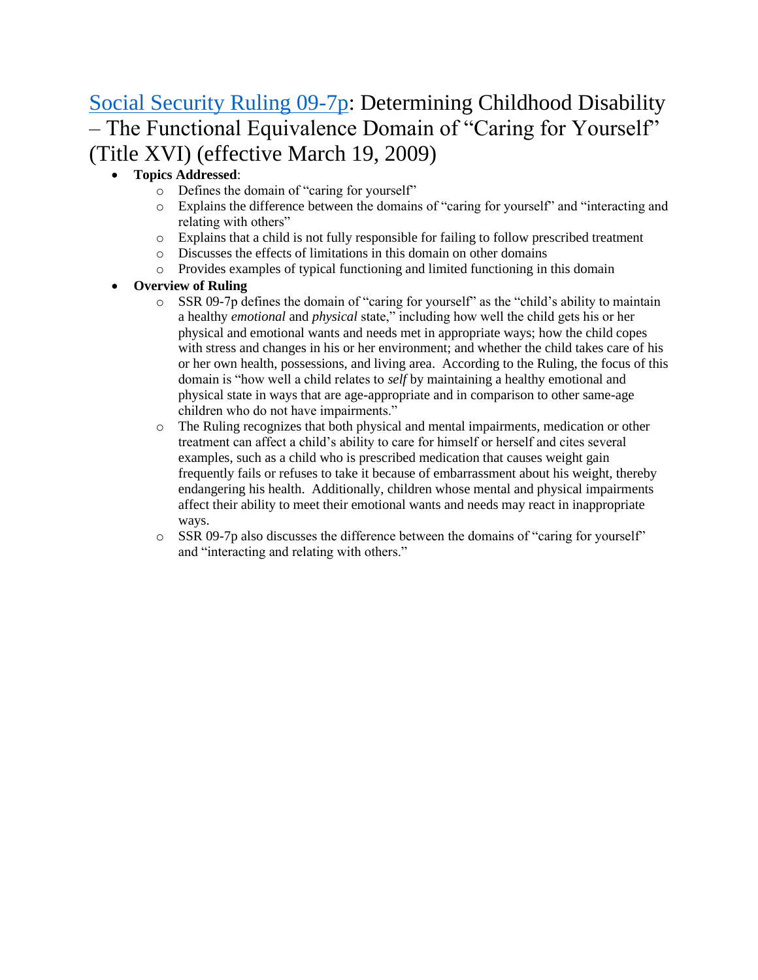# [Social Security Ruling 09-7p:](https://www.gpo.gov/fdsys/pkg/FR-2009-02-17/pdf/E9-3384.pdf) Determining Childhood Disability – The Functional Equivalence Domain of "Caring for Yourself" (Title XVI) (effective March 19, 2009)

### • **Topics Addressed**:

- o Defines the domain of "caring for yourself"
- o Explains the difference between the domains of "caring for yourself" and "interacting and relating with others"
- o Explains that a child is not fully responsible for failing to follow prescribed treatment
- o Discusses the effects of limitations in this domain on other domains
- o Provides examples of typical functioning and limited functioning in this domain

- $\circ$  SSR 09-7p defines the domain of "caring for yourself" as the "child's ability to maintain a healthy *emotional* and *physical* state," including how well the child gets his or her physical and emotional wants and needs met in appropriate ways; how the child copes with stress and changes in his or her environment; and whether the child takes care of his or her own health, possessions, and living area. According to the Ruling, the focus of this domain is "how well a child relates to *self* by maintaining a healthy emotional and physical state in ways that are age-appropriate and in comparison to other same-age children who do not have impairments."
- o The Ruling recognizes that both physical and mental impairments, medication or other treatment can affect a child's ability to care for himself or herself and cites several examples, such as a child who is prescribed medication that causes weight gain frequently fails or refuses to take it because of embarrassment about his weight, thereby endangering his health. Additionally, children whose mental and physical impairments affect their ability to meet their emotional wants and needs may react in inappropriate ways.
- $\circ$  SSR 09-7p also discusses the difference between the domains of "caring for yourself" and "interacting and relating with others."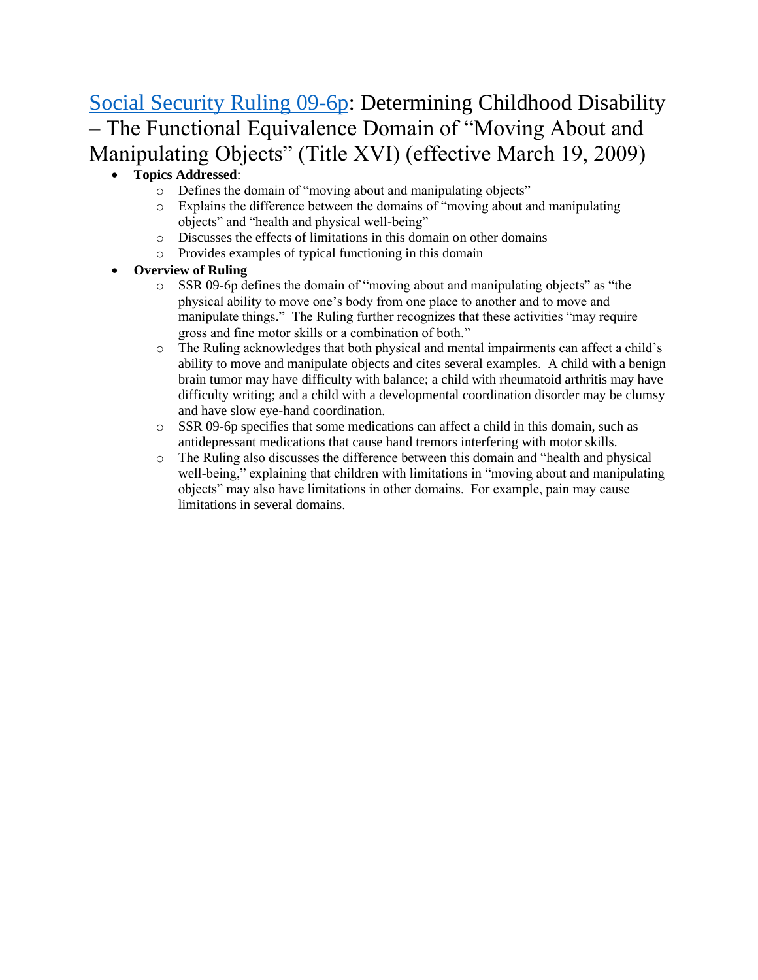# [Social Security Ruling 09-6p:](https://www.gpo.gov/fdsys/pkg/FR-2009-02-17/pdf/E9-3383.pdf) Determining Childhood Disability – The Functional Equivalence Domain of "Moving About and Manipulating Objects" (Title XVI) (effective March 19, 2009)

### • **Topics Addressed**:

- o Defines the domain of "moving about and manipulating objects"
- o Explains the difference between the domains of "moving about and manipulating objects" and "health and physical well-being"
- o Discusses the effects of limitations in this domain on other domains
- o Provides examples of typical functioning in this domain
- **Overview of Ruling** 
	- o SSR 09-6p defines the domain of "moving about and manipulating objects" as "the physical ability to move one's body from one place to another and to move and manipulate things." The Ruling further recognizes that these activities "may require gross and fine motor skills or a combination of both."
	- o The Ruling acknowledges that both physical and mental impairments can affect a child's ability to move and manipulate objects and cites several examples. A child with a benign brain tumor may have difficulty with balance; a child with rheumatoid arthritis may have difficulty writing; and a child with a developmental coordination disorder may be clumsy and have slow eye-hand coordination.
	- $\circ$  SSR 09-6p specifies that some medications can affect a child in this domain, such as antidepressant medications that cause hand tremors interfering with motor skills.
	- o The Ruling also discusses the difference between this domain and "health and physical well-being," explaining that children with limitations in "moving about and manipulating objects" may also have limitations in other domains. For example, pain may cause limitations in several domains.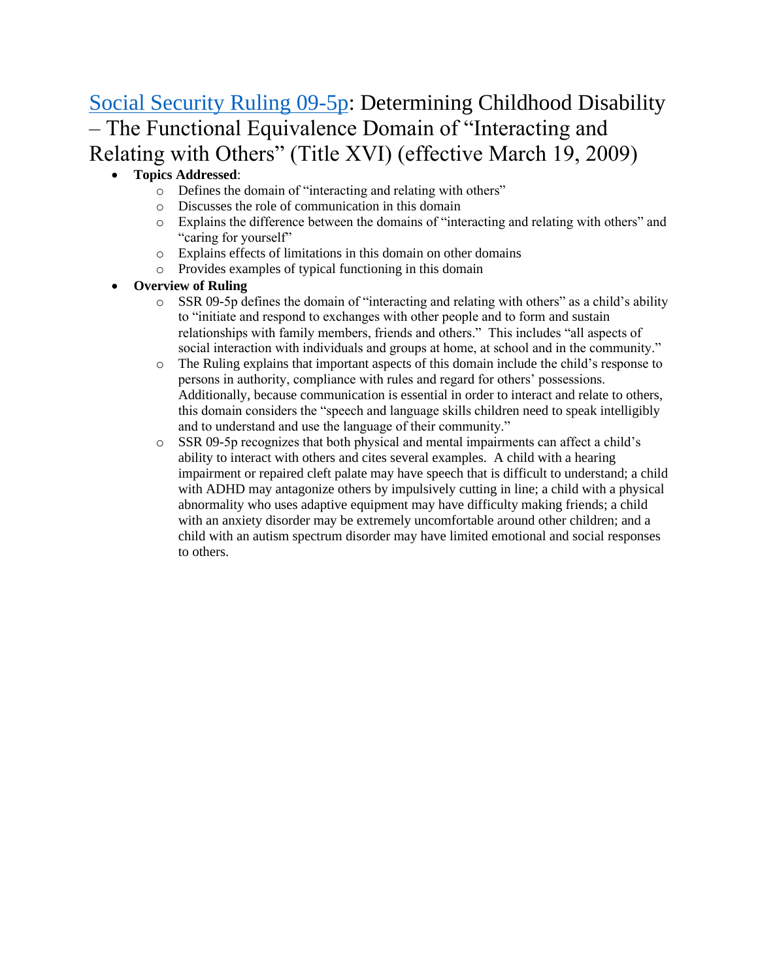# [Social Security Ruling 09-5p:](https://www.gpo.gov/fdsys/pkg/FR-2009-02-17/pdf/E9-3382.pdf) Determining Childhood Disability – The Functional Equivalence Domain of "Interacting and Relating with Others" (Title XVI) (effective March 19, 2009)

### • **Topics Addressed**:

- o Defines the domain of "interacting and relating with others"
- o Discusses the role of communication in this domain
- o Explains the difference between the domains of "interacting and relating with others" and "caring for yourself"
- o Explains effects of limitations in this domain on other domains
- o Provides examples of typical functioning in this domain

- $\circ$  SSR 09-5p defines the domain of "interacting and relating with others" as a child's ability to "initiate and respond to exchanges with other people and to form and sustain relationships with family members, friends and others." This includes "all aspects of social interaction with individuals and groups at home, at school and in the community."
- o The Ruling explains that important aspects of this domain include the child's response to persons in authority, compliance with rules and regard for others' possessions. Additionally, because communication is essential in order to interact and relate to others, this domain considers the "speech and language skills children need to speak intelligibly and to understand and use the language of their community."
- o SSR 09-5p recognizes that both physical and mental impairments can affect a child's ability to interact with others and cites several examples. A child with a hearing impairment or repaired cleft palate may have speech that is difficult to understand; a child with ADHD may antagonize others by impulsively cutting in line; a child with a physical abnormality who uses adaptive equipment may have difficulty making friends; a child with an anxiety disorder may be extremely uncomfortable around other children; and a child with an autism spectrum disorder may have limited emotional and social responses to others.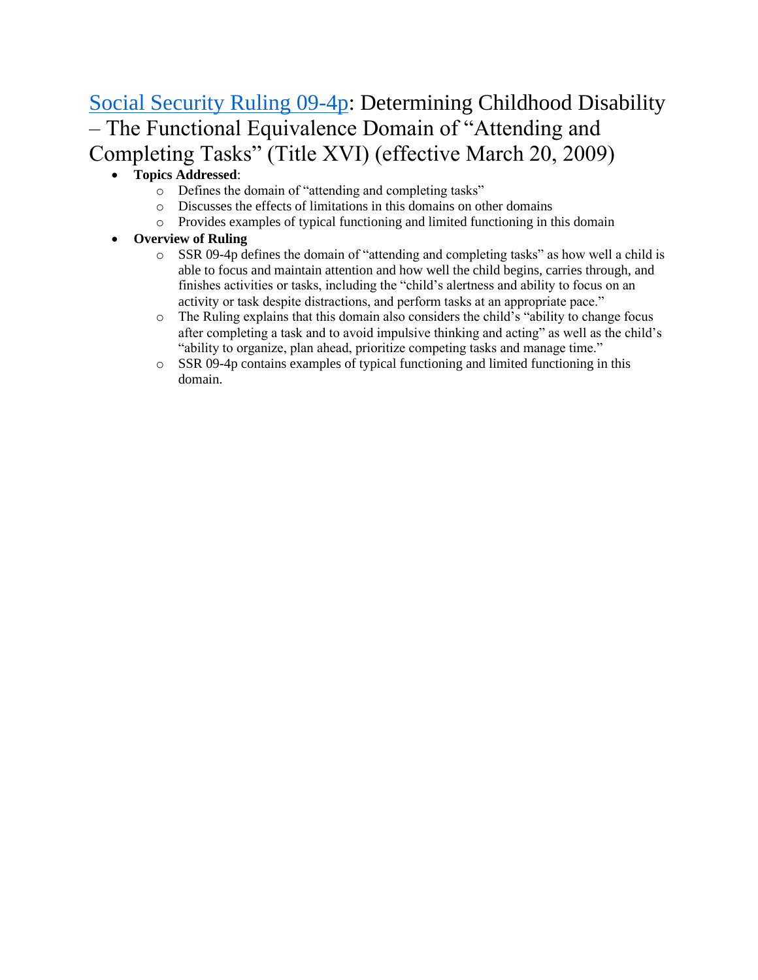# [Social Security Ruling 09-4p:](https://www.gpo.gov/fdsys/pkg/FR-2009-02-18/pdf/E9-3380.pdf) Determining Childhood Disability – The Functional Equivalence Domain of "Attending and Completing Tasks" (Title XVI) (effective March 20, 2009)

## • **Topics Addressed**:

- o Defines the domain of "attending and completing tasks"
- o Discusses the effects of limitations in this domains on other domains
- o Provides examples of typical functioning and limited functioning in this domain

- o SSR 09-4p defines the domain of "attending and completing tasks" as how well a child is able to focus and maintain attention and how well the child begins, carries through, and finishes activities or tasks, including the "child's alertness and ability to focus on an activity or task despite distractions, and perform tasks at an appropriate pace."
- o The Ruling explains that this domain also considers the child's "ability to change focus after completing a task and to avoid impulsive thinking and acting" as well as the child's "ability to organize, plan ahead, prioritize competing tasks and manage time."
- $\circ$  SSR 09-4p contains examples of typical functioning and limited functioning in this domain.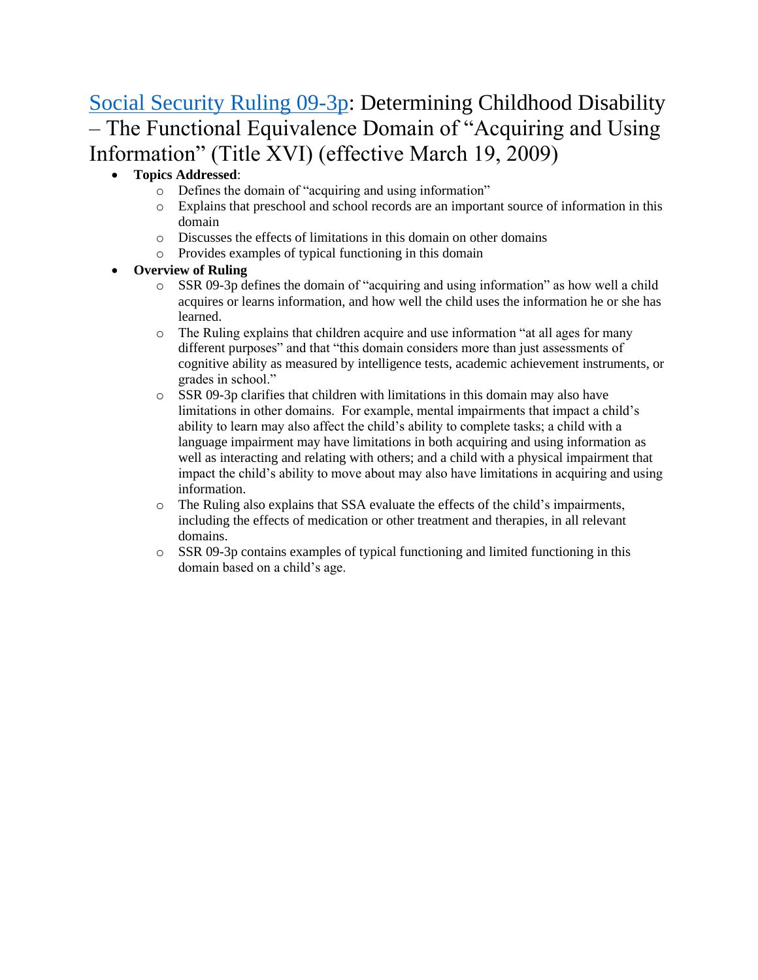# [Social Security Ruling 09-3p:](https://www.gpo.gov/fdsys/pkg/FR-2009-02-17/pdf/E9-3379.pdf) Determining Childhood Disability – The Functional Equivalence Domain of "Acquiring and Using Information" (Title XVI) (effective March 19, 2009)

### • **Topics Addressed**:

- o Defines the domain of "acquiring and using information"
- o Explains that preschool and school records are an important source of information in this domain
- o Discusses the effects of limitations in this domain on other domains
- o Provides examples of typical functioning in this domain
- **Overview of Ruling** 
	- o SSR 09-3p defines the domain of "acquiring and using information" as how well a child acquires or learns information, and how well the child uses the information he or she has learned.
	- $\circ$  The Ruling explains that children acquire and use information "at all ages for many different purposes" and that "this domain considers more than just assessments of cognitive ability as measured by intelligence tests, academic achievement instruments, or grades in school."
	- o SSR 09-3p clarifies that children with limitations in this domain may also have limitations in other domains. For example, mental impairments that impact a child's ability to learn may also affect the child's ability to complete tasks; a child with a language impairment may have limitations in both acquiring and using information as well as interacting and relating with others; and a child with a physical impairment that impact the child's ability to move about may also have limitations in acquiring and using information.
	- $\circ$  The Ruling also explains that SSA evaluate the effects of the child's impairments, including the effects of medication or other treatment and therapies, in all relevant domains.
	- o SSR 09-3p contains examples of typical functioning and limited functioning in this domain based on a child's age.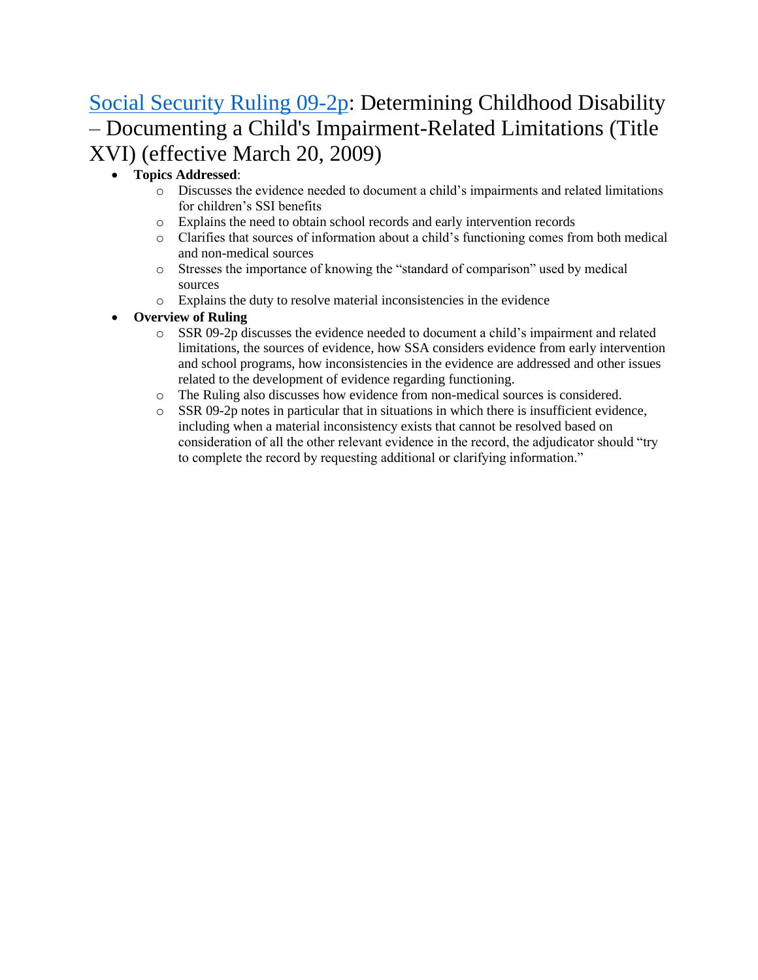# [Social Security Ruling 09-2p:](https://www.gpo.gov/fdsys/pkg/FR-2009-02-18/pdf/E9-3378.pdf) Determining Childhood Disability – Documenting a Child's Impairment-Related Limitations (Title XVI) (effective March 20, 2009)

### • **Topics Addressed**:

- o Discusses the evidence needed to document a child's impairments and related limitations for children's SSI benefits
- o Explains the need to obtain school records and early intervention records
- o Clarifies that sources of information about a child's functioning comes from both medical and non-medical sources
- o Stresses the importance of knowing the "standard of comparison" used by medical sources
- o Explains the duty to resolve material inconsistencies in the evidence

- o SSR 09-2p discusses the evidence needed to document a child's impairment and related limitations, the sources of evidence, how SSA considers evidence from early intervention and school programs, how inconsistencies in the evidence are addressed and other issues related to the development of evidence regarding functioning.
- o The Ruling also discusses how evidence from non-medical sources is considered.
- $\circ$  SSR 09-2p notes in particular that in situations in which there is insufficient evidence, including when a material inconsistency exists that cannot be resolved based on consideration of all the other relevant evidence in the record, the adjudicator should "try to complete the record by requesting additional or clarifying information."